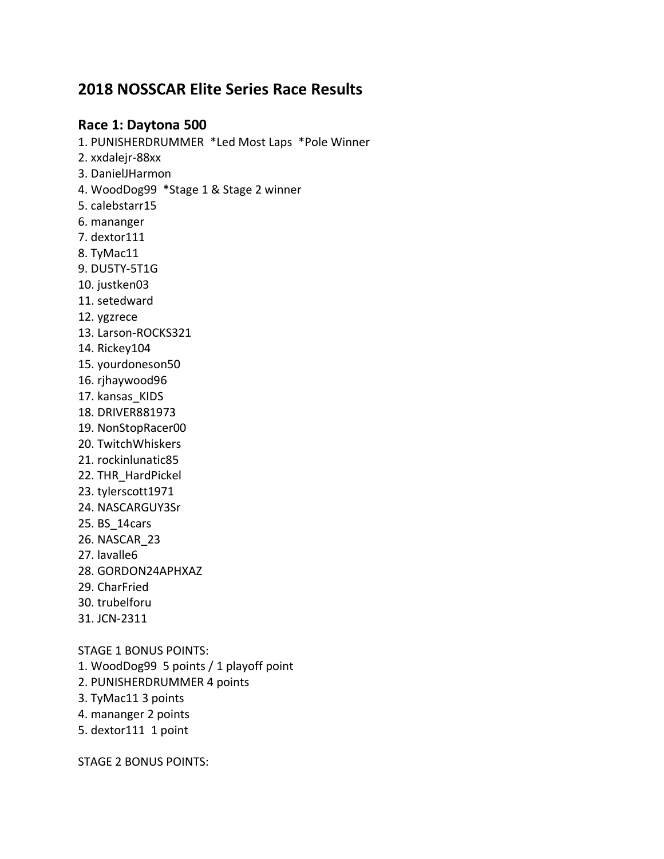# **2018 NOSSCAR Elite Series Race Results**

## **Race 1: Daytona 500**

1. PUNISHERDRUMMER \*Led Most Laps \*Pole Winner 2. xxdalejr-88xx 3. DanielJHarmon 4. WoodDog99 \*Stage 1 & Stage 2 winner 5. calebstarr15 6. mananger 7. dextor111 8. TyMac11 9. DU5TY-5T1G 10. justken03 11. setedward 12. ygzrece 13. Larson-ROCKS321 14. Rickey104 15. yourdoneson50 16. rjhaywood96 17. kansas KIDS 18. DRIVER881973 19. NonStopRacer00 20. TwitchWhiskers 21. rockinlunatic85 22. THR\_HardPickel 23. tylerscott1971 24. NASCARGUY3Sr 25. BS\_14cars 26. NASCAR\_23 27. lavalle6 28. GORDON24APHXAZ 29. CharFried 30. trubelforu 31. JCN-2311 STAGE 1 BONUS POINTS:

- 1. WoodDog99 5 points / 1 playoff point
- 2. PUNISHERDRUMMER 4 points
- 3. TyMac11 3 points
- 4. mananger 2 points
- 5. dextor111 1 point

STAGE 2 BONUS POINTS: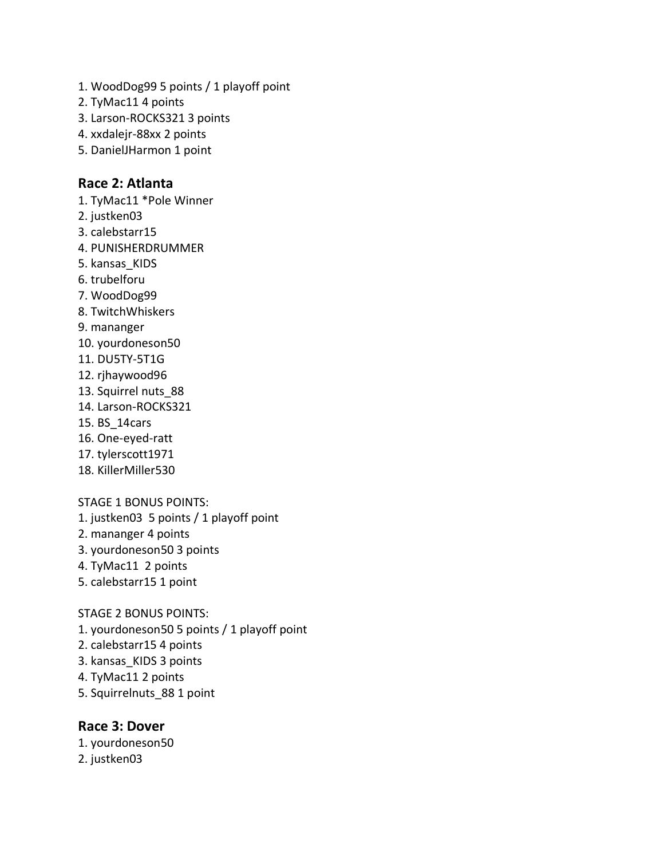- 1. WoodDog99 5 points / 1 playoff point
- 2. TyMac11 4 points
- 3. Larson-ROCKS321 3 points
- 4. xxdalejr-88xx 2 points
- 5. DanielJHarmon 1 point

## **Race 2: Atlanta**

1. TyMac11 \*Pole Winner

- 2. justken03
- 3. calebstarr15
- 4. PUNISHERDRUMMER
- 5. kansas\_KIDS
- 6. trubelforu
- 7. WoodDog99
- 8. TwitchWhiskers
- 9. mananger
- 10. yourdoneson50
- 11. DU5TY-5T1G
- 12. rjhaywood96
- 13. Squirrel nuts\_88
- 14. Larson-ROCKS321
- 15. BS\_14cars
- 16. One-eyed-ratt
- 17. tylerscott1971
- 18. KillerMiller530

STAGE 1 BONUS POINTS:

- 1. justken03 5 points / 1 playoff point
- 2. mananger 4 points
- 3. yourdoneson50 3 points
- 4. TyMac11 2 points
- 5. calebstarr15 1 point

## STAGE 2 BONUS POINTS:

- 1. yourdoneson50 5 points / 1 playoff point
- 2. calebstarr15 4 points
- 3. kansas\_KIDS 3 points
- 4. TyMac11 2 points
- 5. Squirrelnuts\_88 1 point

## **Race 3: Dover**

1. yourdoneson50 2. justken03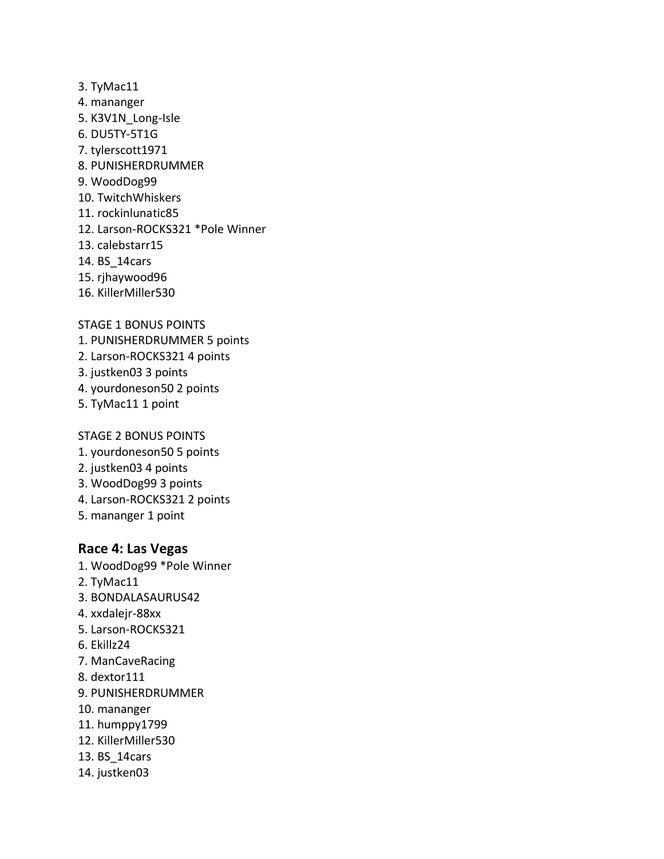- 3. TyMac11
- 4. mananger
- 5. K3V1N\_Long-Isle
- 6. DU5TY-5T1G
- 7. tylerscott1971
- 8. PUNISHERDRUMMER
- 9. WoodDog99
- 10. TwitchWhiskers
- 11. rockinlunatic85
- 12. Larson-ROCKS321 \*Pole Winner
- 13. calebstarr15
- 14. BS\_14cars
- 15. rjhaywood96
- 16. KillerMiller530

## STAGE 1 BONUS POINTS

- 1. PUNISHERDRUMMER 5 points
- 2. Larson-ROCKS321 4 points
- 3. justken03 3 points
- 4. yourdoneson50 2 points
- 5. TyMac11 1 point

## STAGE 2 BONUS POINTS

- 1. yourdoneson50 5 points
- 2. justken03 4 points
- 3. WoodDog99 3 points
- 4. Larson-ROCKS321 2 points
- 5. mananger 1 point

## **Race 4: Las Vegas**

- 1. WoodDog99 \*Pole Winner
- 2. TyMac11
- 3. BONDALASAURUS42
- 4. xxdalejr-88xx
- 5. Larson-ROCKS321
- 6. Ekillz24
- 7. ManCaveRacing
- 8. dextor111
- 9. PUNISHERDRUMMER
- 10. mananger
- 11. humppy1799
- 12. KillerMiller530
- 13. BS\_14cars
- 14. justken03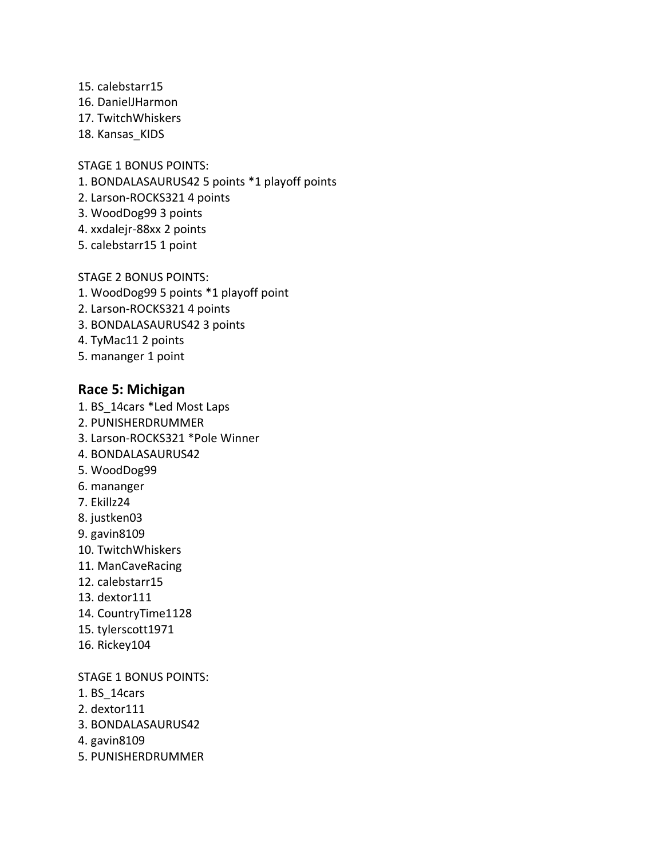- 15. calebstarr15
- 16. DanielJHarmon
- 17. TwitchWhiskers
- 18. Kansas KIDS

STAGE 1 BONUS POINTS:

- 1. BONDALASAURUS42 5 points \*1 playoff points
- 2. Larson-ROCKS321 4 points
- 3. WoodDog99 3 points
- 4. xxdalejr-88xx 2 points
- 5. calebstarr15 1 point

STAGE 2 BONUS POINTS:

- 1. WoodDog99 5 points \*1 playoff point
- 2. Larson-ROCKS321 4 points
- 3. BONDALASAURUS42 3 points
- 4. TyMac11 2 points
- 5. mananger 1 point

## **Race 5: Michigan**

- 1. BS\_14cars \*Led Most Laps
- 2. PUNISHERDRUMMER
- 3. Larson-ROCKS321 \*Pole Winner
- 4. BONDALASAURUS42
- 5. WoodDog99
- 6. mananger
- 7. Ekillz24
- 8. justken03
- 9. gavin8109
- 10. TwitchWhiskers
- 11. ManCaveRacing
- 12. calebstarr15
- 13. dextor111
- 14. CountryTime1128
- 15. tylerscott1971
- 16. Rickey104

STAGE 1 BONUS POINTS:

- 1. BS\_14cars
- 2. dextor111
- 3. BONDALASAURUS42
- 4. gavin8109
- 5. PUNISHERDRUMMER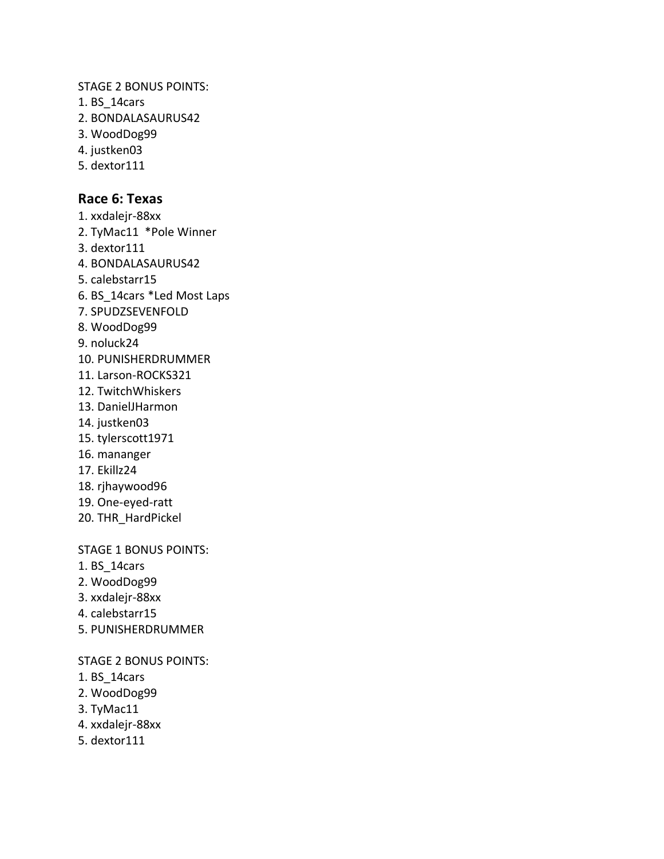STAGE 2 BONUS POINTS:

- 1. BS\_14cars
- 2. BONDALASAURUS42
- 3. WoodDog99
- 4. justken03
- 5. dextor111

## **Race 6: Texas** 1. xxdalejr-88xx

- 2. TyMac11 \*Pole Winner 3. dextor111 4. BONDALASAURUS42 5. calebstarr15 6. BS\_14cars \*Led Most Laps 7. SPUDZSEVENFOLD 8. WoodDog99 9. noluck24 10. PUNISHERDRUMMER 11. Larson-ROCKS321 12. TwitchWhiskers 13. DanielJHarmon 14. justken03 15. tylerscott1971 16. mananger 17. Ekillz24 18. rjhaywood96 19. One-eyed-ratt
- 20. THR\_HardPickel

## STAGE 1 BONUS POINTS:

- 1. BS\_14cars
- 2. WoodDog99
- 3. xxdalejr-88xx
- 4. calebstarr15
- 5. PUNISHERDRUMMER

#### STAGE 2 BONUS POINTS:

- 1. BS\_14cars
- 2. WoodDog99
- 3. TyMac11
- 4. xxdalejr-88xx
- 5. dextor111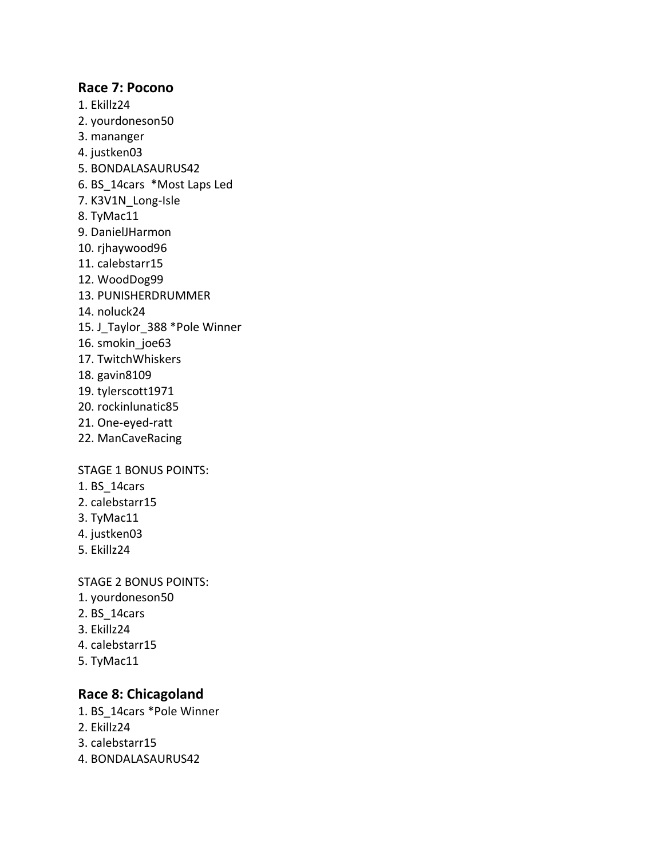## **Race 7: Pocono**

- 1. Ekillz24
- 2. yourdoneson50
- 3. mananger
- 4. justken03
- 5. BONDALASAURUS42
- 6. BS\_14cars \*Most Laps Led
- 7. K3V1N\_Long-Isle
- 8. TyMac11
- 9. DanielJHarmon
- 10. rjhaywood96
- 11. calebstarr15
- 12. WoodDog99
- 13. PUNISHERDRUMMER
- 14. noluck24
- 15. J\_Taylor\_388 \*Pole Winner
- 16. smokin\_joe63
- 17. TwitchWhiskers
- 18. gavin8109
- 19. tylerscott1971
- 20. rockinlunatic85
- 21. One-eyed-ratt
- 22. ManCaveRacing

## STAGE 1 BONUS POINTS:

- 1. BS\_14cars
- 2. calebstarr15
- 3. TyMac11
- 4. justken03
- 5. Ekillz24

STAGE 2 BONUS POINTS:

- 1. yourdoneson50
- 2. BS\_14cars
- 3. Ekillz24
- 4. calebstarr15
- 5. TyMac11

## **Race 8: Chicagoland**

- 1. BS\_14cars \*Pole Winner
- 2. Ekillz24
- 3. calebstarr15
- 4. BONDALASAURUS42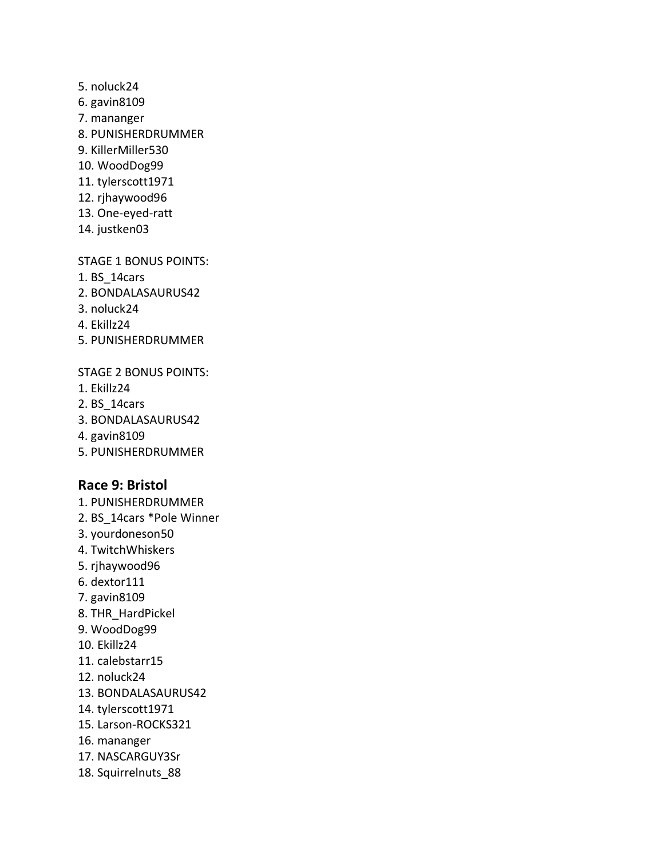- 5. noluck24
- 6. gavin8109
- 7. mananger
- 8. PUNISHERDRUMMER
- 9. KillerMiller530
- 10. WoodDog99
- 11. tylerscott1971
- 12. rjhaywood96
- 13. One-eyed-ratt
- 14. justken03

## STAGE 1 BONUS POINTS:

- 1. BS\_14cars
- 2. BONDALASAURUS42
- 3. noluck24
- 4. Ekillz24
- 5. PUNISHERDRUMMER

## STAGE 2 BONUS POINTS:

- 1. Ekillz24
- 2. BS\_14cars
- 3. BONDALASAURUS42
- 4. gavin8109
- 5. PUNISHERDRUMMER

## **Race 9: Bristol**

- 1. PUNISHERDRUMMER
- 2. BS\_14cars \*Pole Winner
- 3. yourdoneson50
- 4. TwitchWhiskers
- 5. rjhaywood96
- 6. dextor111
- 7. gavin8109
- 8. THR\_HardPickel
- 9. WoodDog99
- 10. Ekillz24
- 11. calebstarr15
- 12. noluck24
- 13. BONDALASAURUS42
- 14. tylerscott1971
- 15. Larson-ROCKS321
- 16. mananger
- 17. NASCARGUY3Sr
- 18. Squirrelnuts\_88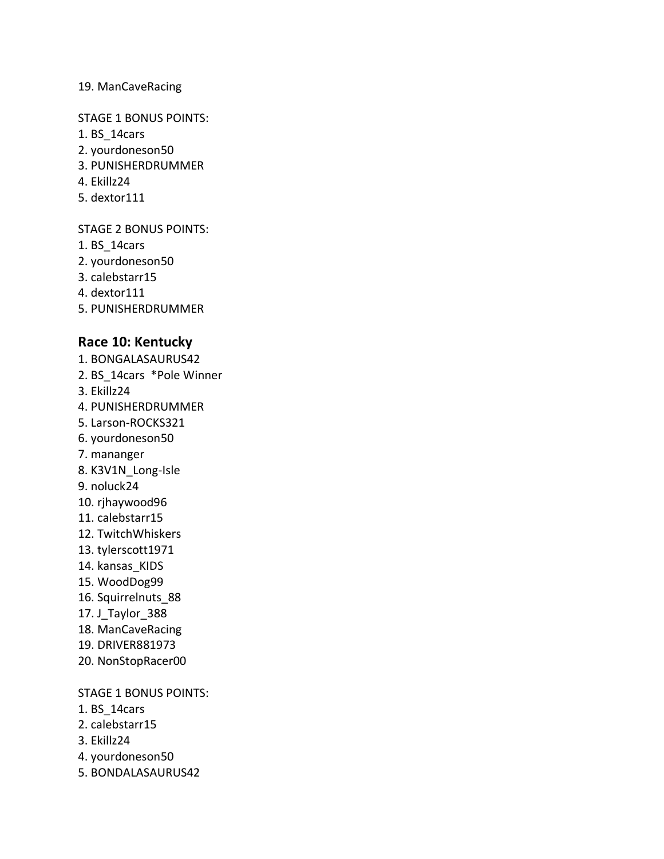## 19. ManCaveRacing

#### STAGE 1 BONUS POINTS:

- 1. BS\_14cars
- 2. yourdoneson50
- 3. PUNISHERDRUMMER
- 4. Ekillz24
- 5. dextor111

## STAGE 2 BONUS POINTS:

- 1. BS\_14cars
- 2. yourdoneson50
- 3. calebstarr15
- 4. dextor111
- 5. PUNISHERDRUMMER

## **Race 10: Kentucky**

- 1. BONGALASAURUS42
- 2. BS\_14cars \*Pole Winner
- 3. Ekillz24
- 4. PUNISHERDRUMMER
- 5. Larson-ROCKS321
- 6. yourdoneson50
- 7. mananger
- 8. K3V1N\_Long-Isle
- 9. noluck24
- 10. rjhaywood96
- 11. calebstarr15
- 12. TwitchWhiskers
- 13. tylerscott1971
- 14. kansas\_KIDS
- 15. WoodDog99
- 16. Squirrelnuts\_88
- 17. J\_Taylor\_388
- 18. ManCaveRacing
- 19. DRIVER881973
- 20. NonStopRacer00

## STAGE 1 BONUS POINTS:

- 1. BS\_14cars
- 2. calebstarr15
- 3. Ekillz24
- 4. yourdoneson50
- 5. BONDALASAURUS42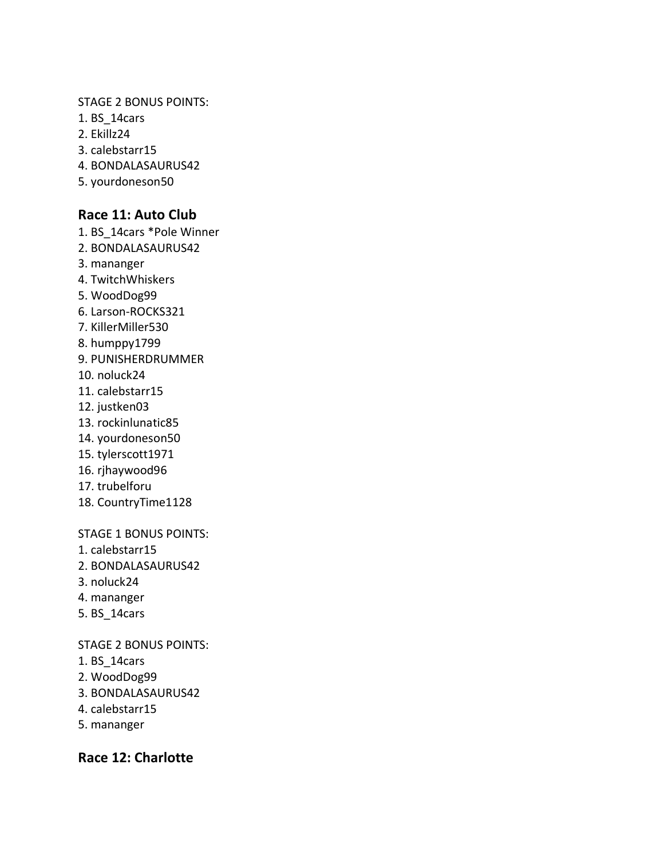#### STAGE 2 BONUS POINTS:

- 1. BS\_14cars
- 2. Ekillz24
- 3. calebstarr15
- 4. BONDALASAURUS42
- 5. yourdoneson50

## **Race 11: Auto Club**

- 1. BS\_14cars \*Pole Winner
- 2. BONDALASAURUS42
- 3. mananger
- 4. TwitchWhiskers
- 5. WoodDog99
- 6. Larson-ROCKS321
- 7. KillerMiller530
- 8. humppy1799
- 9. PUNISHERDRUMMER
- 10. noluck24
- 11. calebstarr15
- 12. justken03
- 13. rockinlunatic85
- 14. yourdoneson50
- 15. tylerscott1971
- 16. rjhaywood96
- 17. trubelforu
- 18. CountryTime1128

## STAGE 1 BONUS POINTS:

- 1. calebstarr15
- 2. BONDALASAURUS42
- 3. noluck24
- 4. mananger
- 5. BS\_14cars

## STAGE 2 BONUS POINTS:

- 1. BS\_14cars
- 2. WoodDog99
- 3. BONDALASAURUS42
- 4. calebstarr15
- 5. mananger

## **Race 12: Charlotte**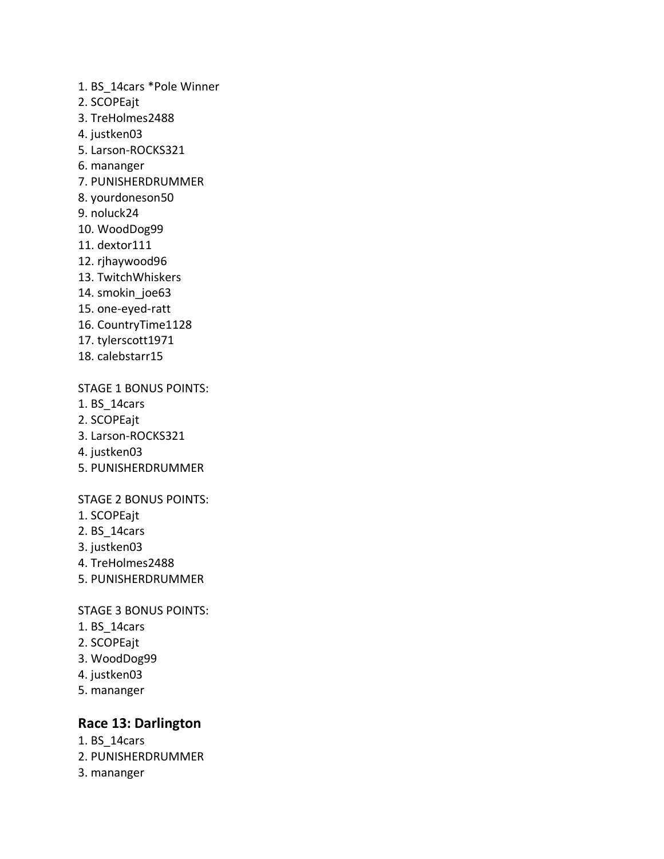- 1. BS\_14cars \*Pole Winner
- 2. SCOPEajt
- 3. TreHolmes2488
- 4. justken03
- 5. Larson-ROCKS321
- 6. mananger
- 7. PUNISHERDRUMMER
- 8. yourdoneson50
- 9. noluck24
- 10. WoodDog99
- 11. dextor111
- 12. rjhaywood96
- 13. TwitchWhiskers
- 14. smokin\_joe63
- 15. one-eyed-ratt
- 16. CountryTime1128
- 17. tylerscott1971
- 18. calebstarr15

## STAGE 1 BONUS POINTS:

- 1. BS\_14cars
- 2. SCOPEajt
- 3. Larson-ROCKS321
- 4. justken03
- 5. PUNISHERDRUMMER

## STAGE 2 BONUS POINTS:

- 1. SCOPEajt
- 2. BS\_14cars
- 3. justken03
- 4. TreHolmes2488
- 5. PUNISHERDRUMMER

#### STAGE 3 BONUS POINTS:

- 1. BS\_14cars
- 2. SCOPEajt
- 3. WoodDog99
- 4. justken03
- 5. mananger

## **Race 13: Darlington**

- 1. BS\_14cars
- 2. PUNISHERDRUMMER
- 3. mananger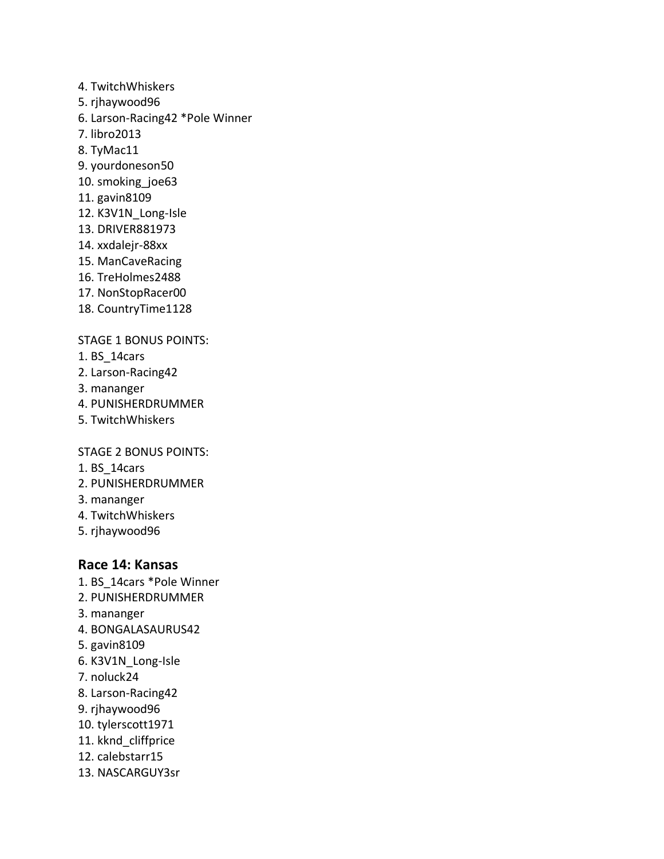- 4. TwitchWhiskers
- 5. rjhaywood96
- 6. Larson-Racing42 \*Pole Winner
- 7. libro2013
- 8. TyMac11
- 9. yourdoneson50
- 10. smoking\_joe63
- 11. gavin8109
- 12. K3V1N\_Long-Isle
- 13. DRIVER881973
- 14. xxdalejr-88xx
- 15. ManCaveRacing
- 16. TreHolmes2488
- 17. NonStopRacer00
- 18. CountryTime1128

## STAGE 1 BONUS POINTS:

- 1. BS\_14cars
- 2. Larson-Racing42
- 3. mananger
- 4. PUNISHERDRUMMER
- 5. TwitchWhiskers

STAGE 2 BONUS POINTS:

- 1. BS\_14cars
- 2. PUNISHERDRUMMER
- 3. mananger
- 4. TwitchWhiskers
- 5. rjhaywood96

## **Race 14: Kansas**

- 1. BS\_14cars \*Pole Winner
- 2. PUNISHERDRUMMER
- 3. mananger
- 4. BONGALASAURUS42
- 5. gavin8109
- 6. K3V1N\_Long-Isle
- 7. noluck24
- 8. Larson-Racing42
- 9. rjhaywood96
- 10. tylerscott1971
- 11. kknd cliffprice
- 12. calebstarr15
- 13. NASCARGUY3sr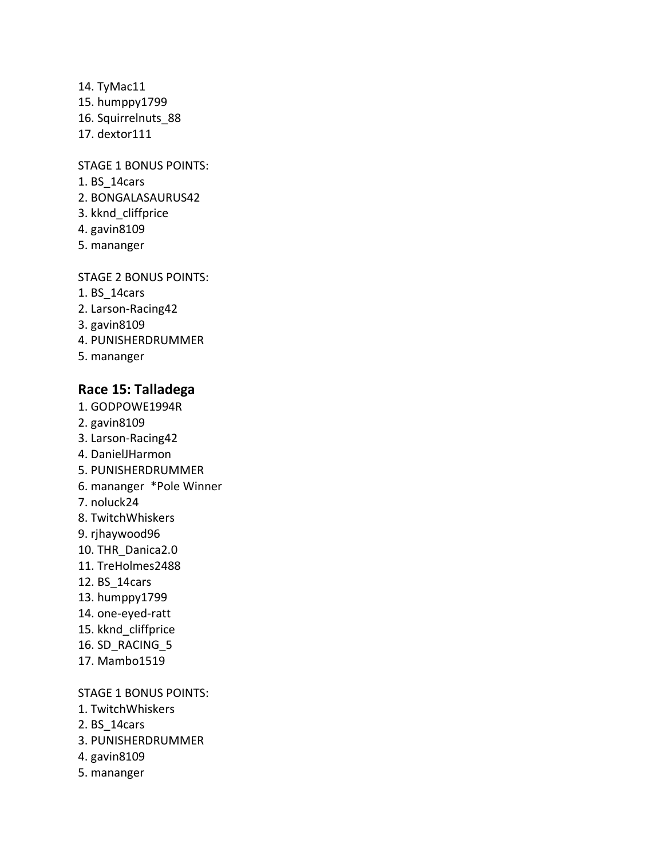14. TyMac11 15. humppy1799 16. Squirrelnuts\_88 17. dextor111

STAGE 1 BONUS POINTS:

- 1. BS\_14cars
- 2. BONGALASAURUS42
- 3. kknd\_cliffprice
- 4. gavin8109
- 5. mananger

STAGE 2 BONUS POINTS:

- 1. BS\_14cars
- 2. Larson-Racing42
- 3. gavin8109
- 4. PUNISHERDRUMMER
- 5. mananger

## **Race 15: Talladega**

- 1. GODPOWE1994R
- 2. gavin8109
- 3. Larson-Racing42
- 4. DanielJHarmon
- 5. PUNISHERDRUMMER
- 6. mananger \*Pole Winner
- 7. noluck24
- 8. TwitchWhiskers
- 9. rjhaywood96
- 10. THR\_Danica2.0
- 11. TreHolmes2488
- 12. BS\_14cars
- 13. humppy1799
- 14. one-eyed-ratt
- 15. kknd cliffprice
- 16. SD\_RACING\_5
- 17. Mambo1519

#### STAGE 1 BONUS POINTS:

- 1. TwitchWhiskers
- 2. BS\_14cars
- 3. PUNISHERDRUMMER
- 4. gavin8109
- 5. mananger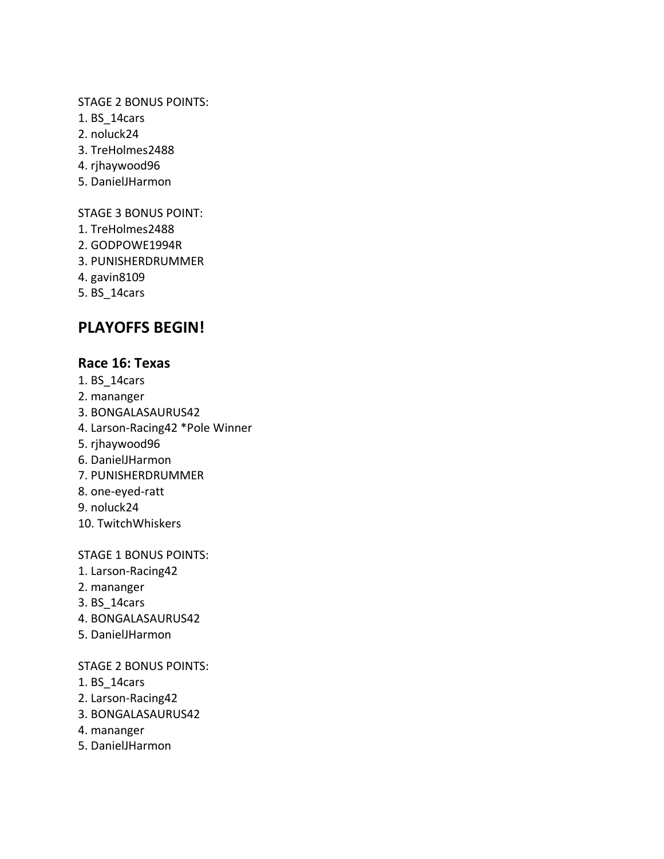## STAGE 2 BONUS POINTS:

- 1. BS\_14cars
- 2. noluck24
- 3. TreHolmes2488
- 4. rjhaywood96
- 5. DanielJHarmon

STAGE 3 BONUS POINT:

- 1. TreHolmes2488
- 2. GODPOWE1994R
- 3. PUNISHERDRUMMER
- 4. gavin8109
- 5. BS\_14cars

# **PLAYOFFS BEGIN!**

## **Race 16: Texas**

- 1. BS\_14cars
- 2. mananger
- 3. BONGALASAURUS42
- 4. Larson-Racing42 \*Pole Winner
- 5. rjhaywood96
- 6. DanielJHarmon
- 7. PUNISHERDRUMMER
- 8. one-eyed-ratt
- 9. noluck24
- 10. TwitchWhiskers

STAGE 1 BONUS POINTS:

- 1. Larson-Racing42
- 2. mananger
- 3. BS\_14cars
- 4. BONGALASAURUS42
- 5. DanielJHarmon

## STAGE 2 BONUS POINTS:

- 1. BS\_14cars
- 2. Larson-Racing42
- 3. BONGALASAURUS42
- 4. mananger
- 5. DanielJHarmon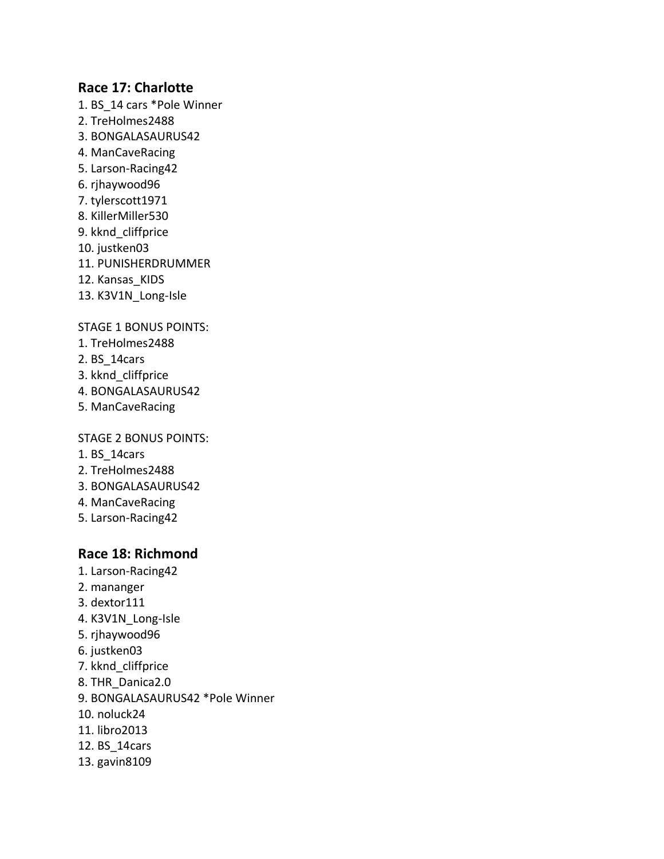## **Race 17: Charlotte**

- 1. BS\_14 cars \*Pole Winner
- 2. TreHolmes2488
- 3. BONGALASAURUS42
- 4. ManCaveRacing
- 5. Larson-Racing42
- 6. rjhaywood96
- 7. tylerscott1971
- 8. KillerMiller530
- 9. kknd\_cliffprice
- 10. justken03
- 11. PUNISHERDRUMMER
- 12. Kansas KIDS
- 13. K3V1N\_Long-Isle

STAGE 1 BONUS POINTS:

- 1. TreHolmes2488
- 2. BS\_14cars
- 3. kknd\_cliffprice
- 4. BONGALASAURUS42
- 5. ManCaveRacing

#### STAGE 2 BONUS POINTS:

- 1. BS\_14cars
- 2. TreHolmes2488
- 3. BONGALASAURUS42
- 4. ManCaveRacing
- 5. Larson-Racing42

## **Race 18: Richmond**

- 1. Larson-Racing42
- 2. mananger
- 3. dextor111
- 4. K3V1N\_Long-Isle
- 5. rjhaywood96
- 6. justken03
- 7. kknd\_cliffprice
- 8. THR\_Danica2.0
- 9. BONGALASAURUS42 \*Pole Winner
- 10. noluck24
- 11. libro2013
- 12. BS\_14cars
- 13. gavin8109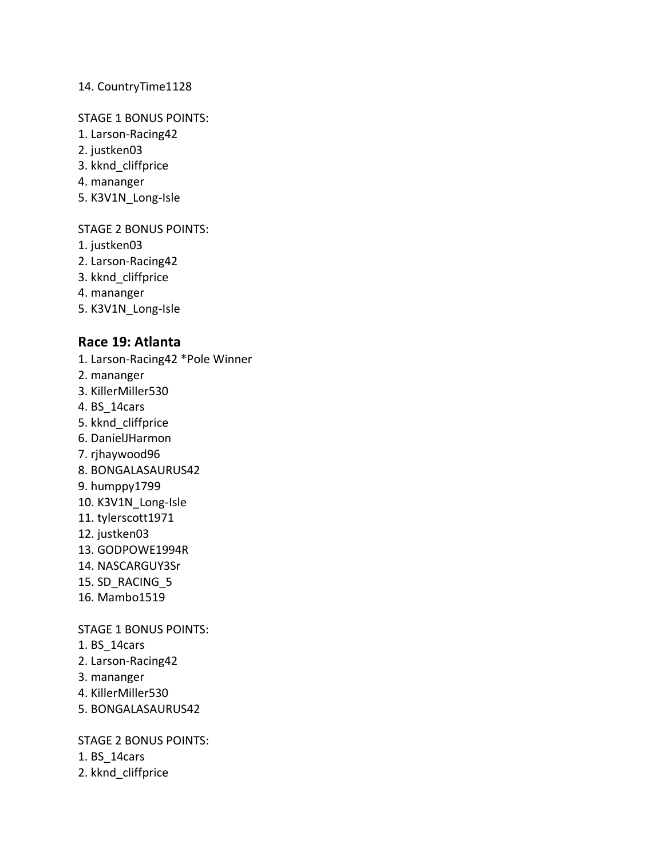## 14. CountryTime1128

## STAGE 1 BONUS POINTS:

- 1. Larson-Racing42
- 2. justken03
- 3. kknd\_cliffprice
- 4. mananger
- 5. K3V1N\_Long-Isle

## STAGE 2 BONUS POINTS:

- 1. justken03
- 2. Larson-Racing42
- 3. kknd\_cliffprice
- 4. mananger
- 5. K3V1N\_Long-Isle

## **Race 19: Atlanta**

- 1. Larson-Racing42 \*Pole Winner
- 2. mananger
- 3. KillerMiller530
- 4. BS\_14cars
- 5. kknd\_cliffprice
- 6. DanielJHarmon
- 7. rjhaywood96
- 8. BONGALASAURUS42
- 9. humppy1799
- 10. K3V1N\_Long-Isle
- 11. tylerscott1971
- 12. justken03
- 13. GODPOWE1994R
- 14. NASCARGUY3Sr
- 15. SD\_RACING\_5
- 16. Mambo1519

## STAGE 1 BONUS POINTS:

- 1. BS\_14cars
- 2. Larson-Racing42
- 3. mananger
- 4. KillerMiller530
- 5. BONGALASAURUS42

STAGE 2 BONUS POINTS:

- 1. BS\_14cars
- 2. kknd\_cliffprice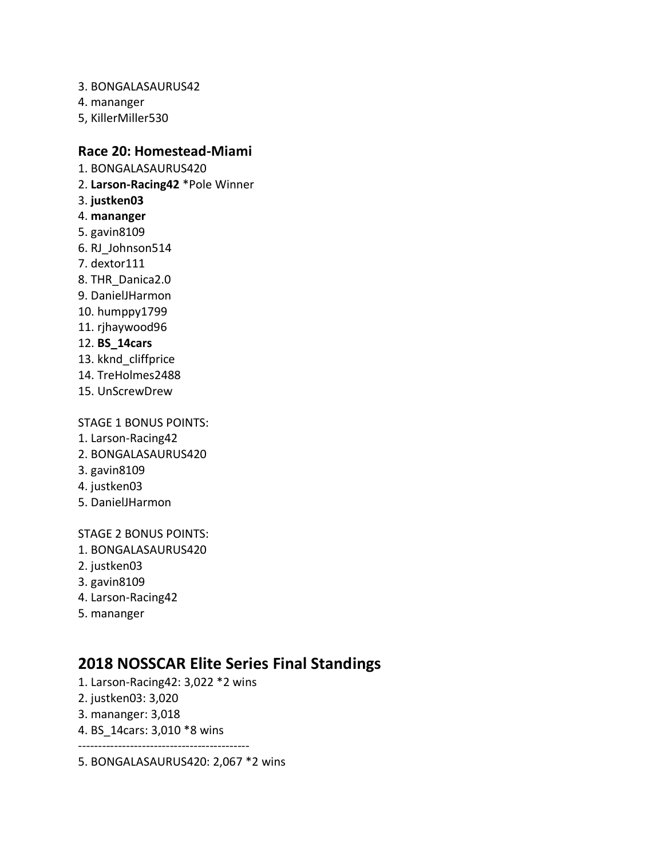- 3. BONGALASAURUS42
- 4. mananger
- 5, KillerMiller530

## **Race 20: Homestead-Miami**

- 1. BONGALASAURUS420
- 2. **Larson-Racing42** \*Pole Winner
- 3. **justken03**
- 4. **mananger**
- 5. gavin8109
- 6. RJ\_Johnson514
- 7. dextor111
- 8. THR\_Danica2.0
- 9. DanielJHarmon
- 10. humppy1799
- 11. rjhaywood96
- 12. **BS\_14cars**
- 13. kknd\_cliffprice
- 14. TreHolmes2488
- 15. UnScrewDrew

STAGE 1 BONUS POINTS:

- 1. Larson-Racing42
- 2. BONGALASAURUS420
- 3. gavin8109
- 4. justken03
- 5. DanielJHarmon

STAGE 2 BONUS POINTS:

- 1. BONGALASAURUS420
- 2. justken03
- 3. gavin8109
- 4. Larson-Racing42
- 5. mananger

# **2018 NOSSCAR Elite Series Final Standings**

- 1. Larson-Racing42: 3,022 \*2 wins
- 2. justken03: 3,020
- 3. mananger: 3,018
- 4. BS\_14cars: 3,010 \*8 wins -------------------------------------------
- 5. BONGALASAURUS420: 2,067 \*2 wins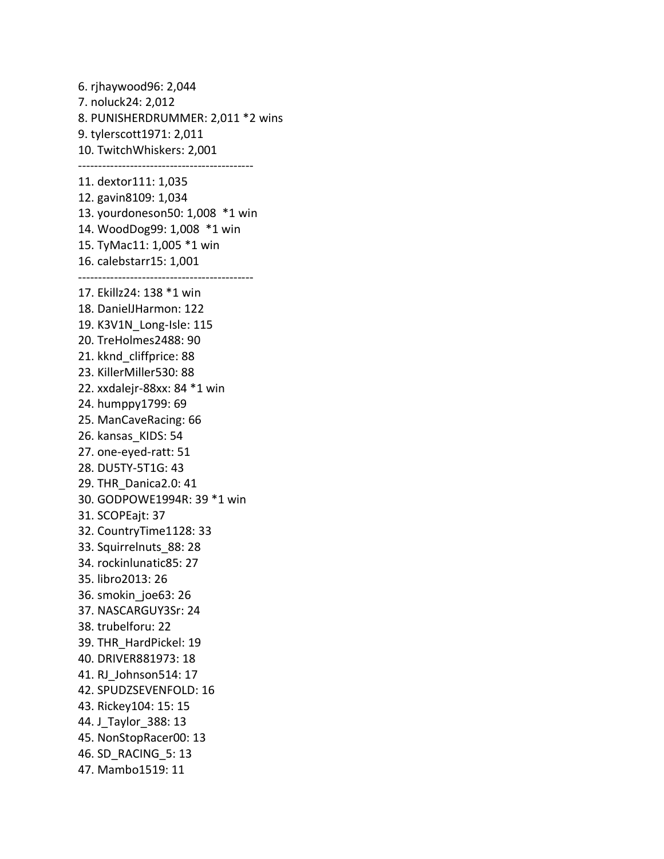6. rjhaywood96: 2,044 7. noluck24: 2,012 8. PUNISHERDRUMMER: 2,011 \*2 wins 9. tylerscott1971: 2,011 10. TwitchWhiskers: 2,001 -------------------------------------------- 11. dextor111: 1,035 12. gavin8109: 1,034 13. yourdoneson50: 1,008 \*1 win 14. WoodDog99: 1,008 \*1 win 15. TyMac11: 1,005 \*1 win 16. calebstarr15: 1,001 -------------------------------------------- 17. Ekillz24: 138 \*1 win 18. DanielJHarmon: 122 19. K3V1N\_Long-Isle: 115 20. TreHolmes2488: 90 21. kknd\_cliffprice: 88 23. KillerMiller530: 88 22. xxdalejr-88xx: 84 \*1 win 24. humppy1799: 69 25. ManCaveRacing: 66 26. kansas\_KIDS: 54 27. one-eyed-ratt: 51 28. DU5TY-5T1G: 43 29. THR\_Danica2.0: 41 30. GODPOWE1994R: 39 \*1 win 31. SCOPEajt: 37 32. CountryTime1128: 33 33. Squirrelnuts\_88: 28 34. rockinlunatic85: 27 35. libro2013: 26 36. smokin\_joe63: 26 37. NASCARGUY3Sr: 24 38. trubelforu: 22 39. THR\_HardPickel: 19 40. DRIVER881973: 18 41. RJ\_Johnson514: 17 42. SPUDZSEVENFOLD: 16 43. Rickey104: 15: 15 44. J\_Taylor\_388: 13 45. NonStopRacer00: 13 46. SD\_RACING\_5: 13 47. Mambo1519: 11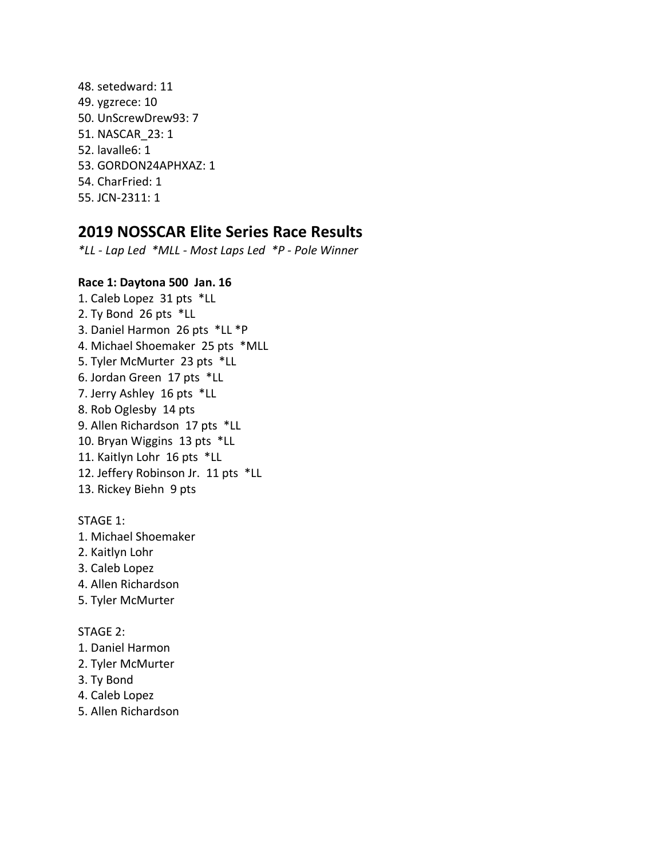48. setedward: 11 49. ygzrece: 10 50. UnScrewDrew93: 7 51. NASCAR\_23: 1 52. lavalle6: 1 53. GORDON24APHXAZ: 1 54. CharFried: 1 55. JCN-2311: 1

## **2019 NOSSCAR Elite Series Race Results**

*\*LL - Lap Led \*MLL - Most Laps Led \*P - Pole Winner*

## **Race 1: Daytona 500 Jan. 16**

1. Caleb Lopez 31 pts \*LL 2. Ty Bond 26 pts \*LL 3. Daniel Harmon 26 pts \*LL \*P 4. Michael Shoemaker 25 pts \*MLL 5. Tyler McMurter 23 pts \*LL 6. Jordan Green 17 pts \*LL 7. Jerry Ashley 16 pts \*LL 8. Rob Oglesby 14 pts 9. Allen Richardson 17 pts \*LL 10. Bryan Wiggins 13 pts \*LL 11. Kaitlyn Lohr 16 pts \*LL 12. Jeffery Robinson Jr. 11 pts \*LL 13. Rickey Biehn 9 pts

## STAGE 1:

- 1. Michael Shoemaker
- 2. Kaitlyn Lohr
- 3. Caleb Lopez
- 4. Allen Richardson
- 5. Tyler McMurter

#### STAGE 2:

- 1. Daniel Harmon
- 2. Tyler McMurter
- 3. Ty Bond
- 4. Caleb Lopez
- 5. Allen Richardson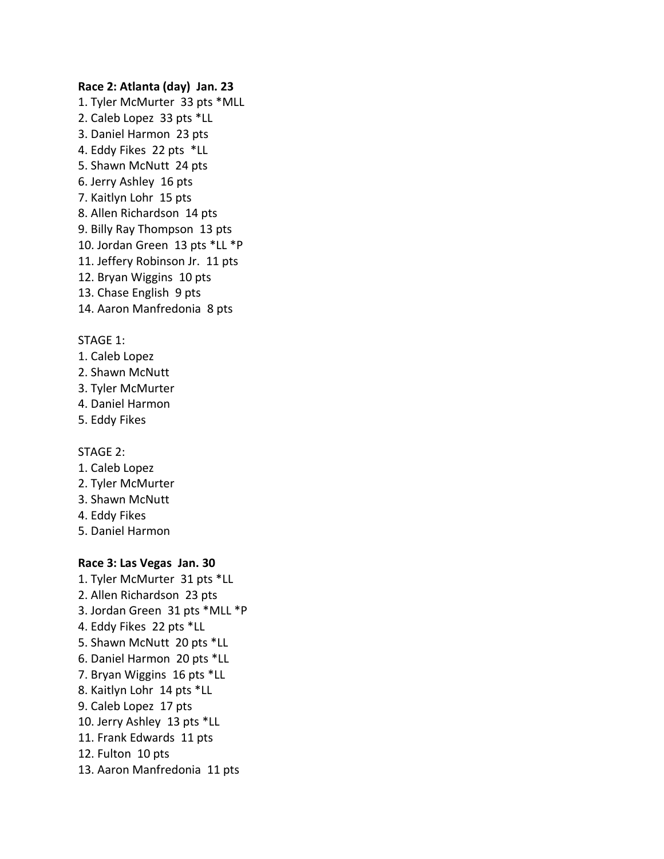#### **Race 2: Atlanta (day) Jan. 23**

1. Tyler McMurter 33 pts \*MLL 2. Caleb Lopez 33 pts \*LL 3. Daniel Harmon 23 pts 4. Eddy Fikes 22 pts \*LL 5. Shawn McNutt 24 pts 6. Jerry Ashley 16 pts 7. Kaitlyn Lohr 15 pts 8. Allen Richardson 14 pts 9. Billy Ray Thompson 13 pts 10. Jordan Green 13 pts \*LL \*P 11. Jeffery Robinson Jr. 11 pts 12. Bryan Wiggins 10 pts 13. Chase English 9 pts 14. Aaron Manfredonia 8 pts

#### STAGE 1:

- 1. Caleb Lopez
- 2. Shawn McNutt
- 3. Tyler McMurter
- 4. Daniel Harmon
- 5. Eddy Fikes

#### STAGE 2:

- 1. Caleb Lopez
- 2. Tyler McMurter
- 3. Shawn McNutt
- 4. Eddy Fikes
- 5. Daniel Harmon

#### **Race 3: Las Vegas Jan. 30**

1. Tyler McMurter 31 pts \*LL 2. Allen Richardson 23 pts 3. Jordan Green 31 pts \*MLL \*P 4. Eddy Fikes 22 pts \*LL 5. Shawn McNutt 20 pts \*LL 6. Daniel Harmon 20 pts \*LL 7. Bryan Wiggins 16 pts \*LL 8. Kaitlyn Lohr 14 pts \*LL 9. Caleb Lopez 17 pts 10. Jerry Ashley 13 pts \*LL 11. Frank Edwards 11 pts 12. Fulton 10 pts 13. Aaron Manfredonia 11 pts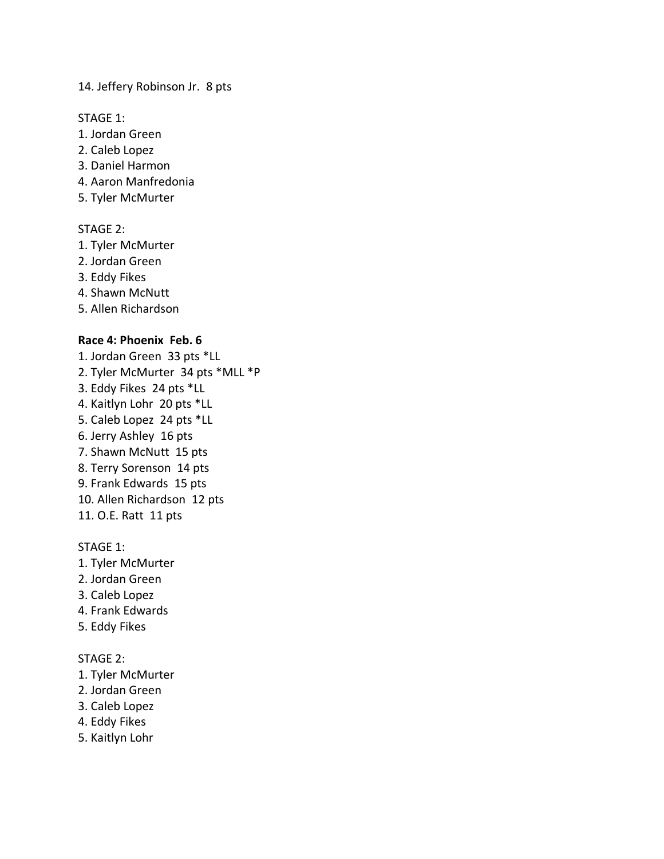14. Jeffery Robinson Jr. 8 pts

STAGE 1:

- 1. Jordan Green
- 2. Caleb Lopez
- 3. Daniel Harmon
- 4. Aaron Manfredonia
- 5. Tyler McMurter

#### STAGE 2:

- 1. Tyler McMurter
- 2. Jordan Green
- 3. Eddy Fikes
- 4. Shawn McNutt
- 5. Allen Richardson

## **Race 4: Phoenix Feb. 6**

1. Jordan Green 33 pts \*LL 2. Tyler McMurter 34 pts \*MLL \*P 3. Eddy Fikes 24 pts \*LL 4. Kaitlyn Lohr 20 pts \*LL 5. Caleb Lopez 24 pts \*LL 6. Jerry Ashley 16 pts 7. Shawn McNutt 15 pts 8. Terry Sorenson 14 pts 9. Frank Edwards 15 pts 10. Allen Richardson 12 pts 11. O.E. Ratt 11 pts

#### STAGE 1:

- 1. Tyler McMurter
- 2. Jordan Green
- 3. Caleb Lopez
- 4. Frank Edwards
- 5. Eddy Fikes

#### STAGE 2:

- 1. Tyler McMurter
- 2. Jordan Green
- 3. Caleb Lopez
- 4. Eddy Fikes
- 5. Kaitlyn Lohr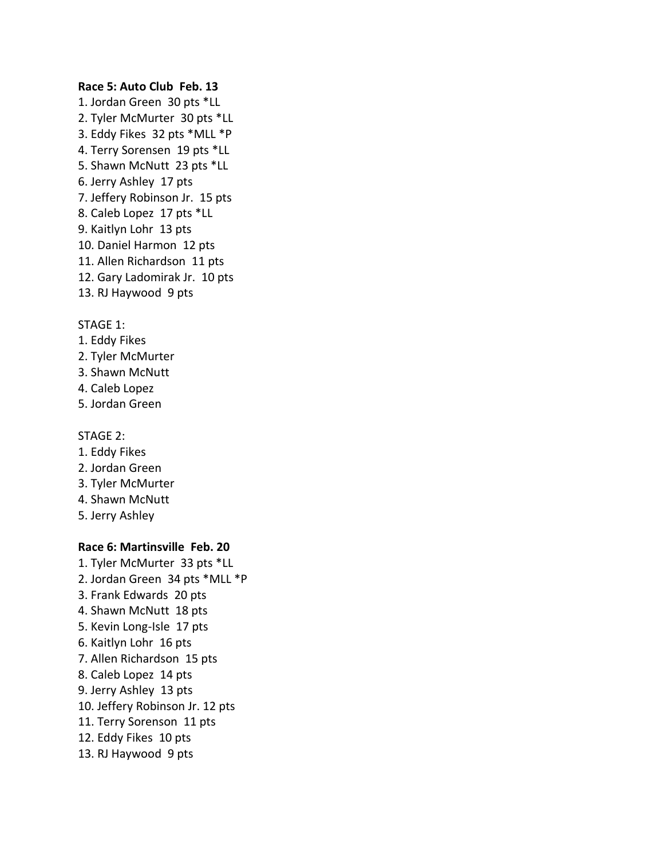#### **Race 5: Auto Club Feb. 13**

1. Jordan Green 30 pts \*LL 2. Tyler McMurter 30 pts \*LL 3. Eddy Fikes 32 pts \*MLL \*P 4. Terry Sorensen 19 pts \*LL 5. Shawn McNutt 23 pts \*LL 6. Jerry Ashley 17 pts 7. Jeffery Robinson Jr. 15 pts 8. Caleb Lopez 17 pts \*LL 9. Kaitlyn Lohr 13 pts 10. Daniel Harmon 12 pts 11. Allen Richardson 11 pts 12. Gary Ladomirak Jr. 10 pts 13. RJ Haywood 9 pts

## STAGE 1:

- 1. Eddy Fikes
- 2. Tyler McMurter
- 3. Shawn McNutt
- 4. Caleb Lopez
- 5. Jordan Green

#### STAGE 2:

- 1. Eddy Fikes
- 2. Jordan Green
- 3. Tyler McMurter
- 4. Shawn McNutt
- 5. Jerry Ashley

#### **Race 6: Martinsville Feb. 20**

1. Tyler McMurter 33 pts \*LL 2. Jordan Green 34 pts \*MLL \*P 3. Frank Edwards 20 pts 4. Shawn McNutt 18 pts 5. Kevin Long-Isle 17 pts 6. Kaitlyn Lohr 16 pts 7. Allen Richardson 15 pts 8. Caleb Lopez 14 pts 9. Jerry Ashley 13 pts 10. Jeffery Robinson Jr. 12 pts 11. Terry Sorenson 11 pts 12. Eddy Fikes 10 pts 13. RJ Haywood 9 pts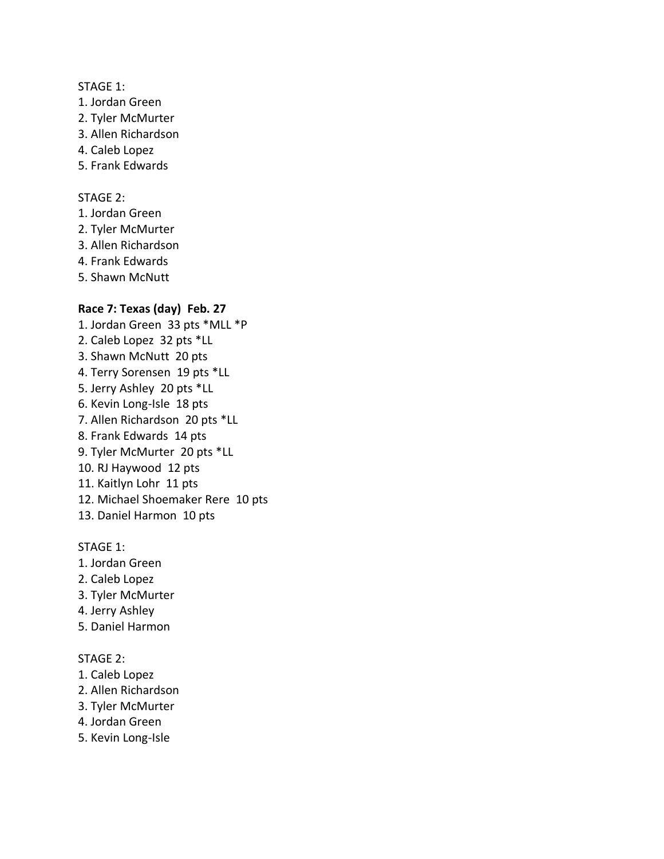#### STAGE 1:

- 1. Jordan Green
- 2. Tyler McMurter
- 3. Allen Richardson
- 4. Caleb Lopez
- 5. Frank Edwards

#### STAGE 2:

- 1. Jordan Green
- 2. Tyler McMurter
- 3. Allen Richardson
- 4. Frank Edwards
- 5. Shawn McNutt

## **Race 7: Texas (day) Feb. 27**

1. Jordan Green 33 pts \*MLL \*P 2. Caleb Lopez 32 pts \*LL 3. Shawn McNutt 20 pts 4. Terry Sorensen 19 pts \*LL 5. Jerry Ashley 20 pts \*LL 6. Kevin Long-Isle 18 pts 7. Allen Richardson 20 pts \*LL 8. Frank Edwards 14 pts 9. Tyler McMurter 20 pts \*LL 10. RJ Haywood 12 pts 11. Kaitlyn Lohr 11 pts 12. Michael Shoemaker Rere 10 pts 13. Daniel Harmon 10 pts

#### STAGE 1:

- 1. Jordan Green
- 2. Caleb Lopez
- 3. Tyler McMurter
- 4. Jerry Ashley
- 5. Daniel Harmon

## STAGE 2:

- 1. Caleb Lopez
- 2. Allen Richardson
- 3. Tyler McMurter
- 4. Jordan Green
- 5. Kevin Long-Isle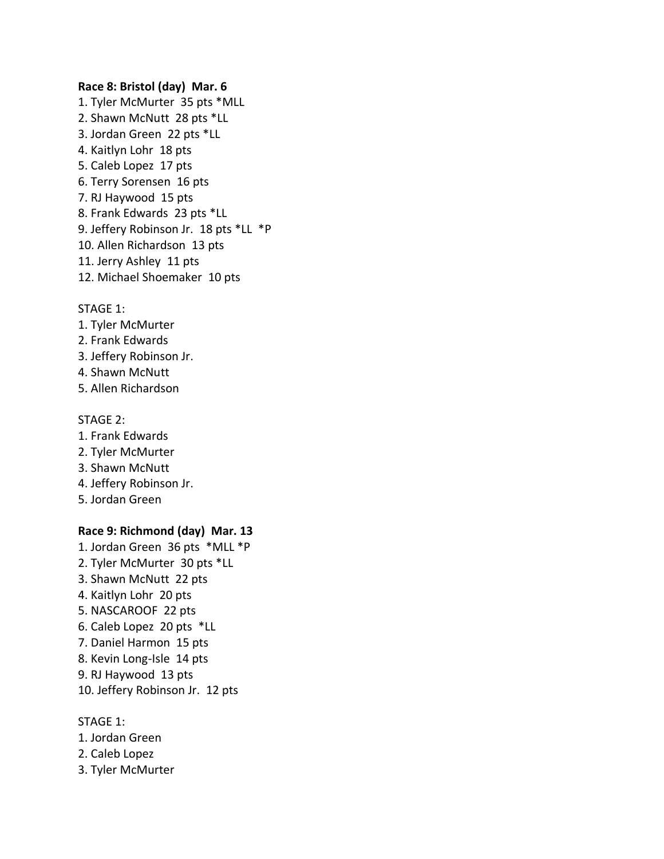#### **Race 8: Bristol (day) Mar. 6**

1. Tyler McMurter 35 pts \*MLL 2. Shawn McNutt 28 pts \*LL 3. Jordan Green 22 pts \*LL 4. Kaitlyn Lohr 18 pts 5. Caleb Lopez 17 pts 6. Terry Sorensen 16 pts 7. RJ Haywood 15 pts 8. Frank Edwards 23 pts \*LL 9. Jeffery Robinson Jr. 18 pts \*LL \*P 10. Allen Richardson 13 pts 11. Jerry Ashley 11 pts 12. Michael Shoemaker 10 pts

#### STAGE 1:

- 1. Tyler McMurter
- 2. Frank Edwards
- 3. Jeffery Robinson Jr.
- 4. Shawn McNutt
- 5. Allen Richardson

#### STAGE 2:

- 1. Frank Edwards 2. Tyler McMurter 3. Shawn McNutt
- 4. Jeffery Robinson Jr.
- 5. Jordan Green

## **Race 9: Richmond (day) Mar. 13**

1. Jordan Green 36 pts \*MLL \*P 2. Tyler McMurter 30 pts \*LL 3. Shawn McNutt 22 pts 4. Kaitlyn Lohr 20 pts 5. NASCAROOF 22 pts 6. Caleb Lopez 20 pts \*LL 7. Daniel Harmon 15 pts 8. Kevin Long-Isle 14 pts 9. RJ Haywood 13 pts 10. Jeffery Robinson Jr. 12 pts

#### STAGE 1:

- 1. Jordan Green
- 2. Caleb Lopez
- 3. Tyler McMurter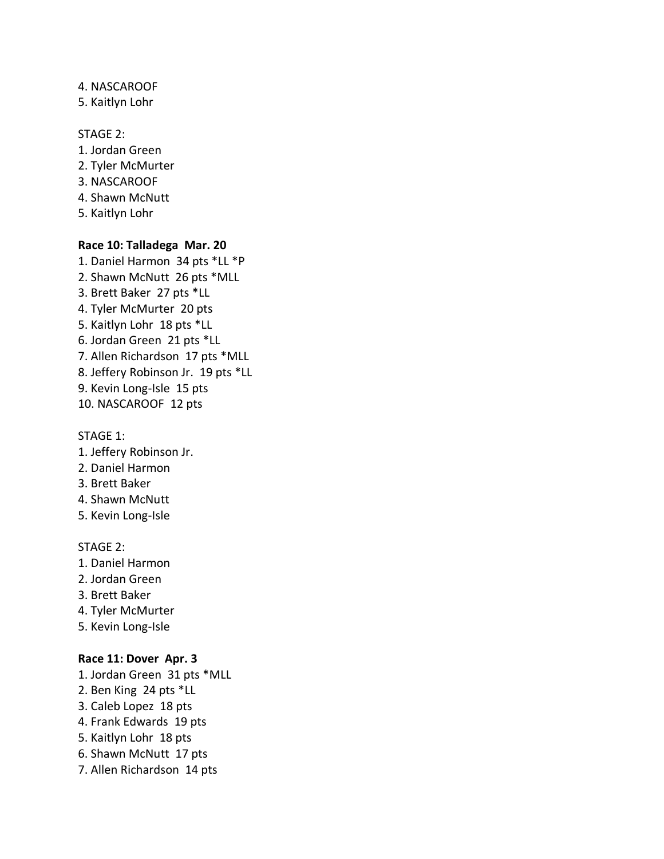## 4. NASCAROOF

5. Kaitlyn Lohr

## STAGE 2:

- 1. Jordan Green 2. Tyler McMurter 3. NASCAROOF 4. Shawn McNutt
- 5. Kaitlyn Lohr

## **Race 10: Talladega Mar. 20**

1. Daniel Harmon 34 pts \*LL \*P 2. Shawn McNutt 26 pts \*MLL 3. Brett Baker 27 pts \*LL 4. Tyler McMurter 20 pts 5. Kaitlyn Lohr 18 pts \*LL 6. Jordan Green 21 pts \*LL 7. Allen Richardson 17 pts \*MLL 8. Jeffery Robinson Jr. 19 pts \*LL 9. Kevin Long-Isle 15 pts 10. NASCAROOF 12 pts

#### STAGE 1:

- 1. Jeffery Robinson Jr.
- 2. Daniel Harmon
- 3. Brett Baker
- 4. Shawn McNutt
- 5. Kevin Long-Isle

#### STAGE 2:

- 1. Daniel Harmon
- 2. Jordan Green
- 3. Brett Baker
- 4. Tyler McMurter
- 5. Kevin Long-Isle

#### **Race 11: Dover Apr. 3**

- 1. Jordan Green 31 pts \*MLL
- 2. Ben King 24 pts \*LL
- 3. Caleb Lopez 18 pts
- 4. Frank Edwards 19 pts
- 5. Kaitlyn Lohr 18 pts
- 6. Shawn McNutt 17 pts
- 7. Allen Richardson 14 pts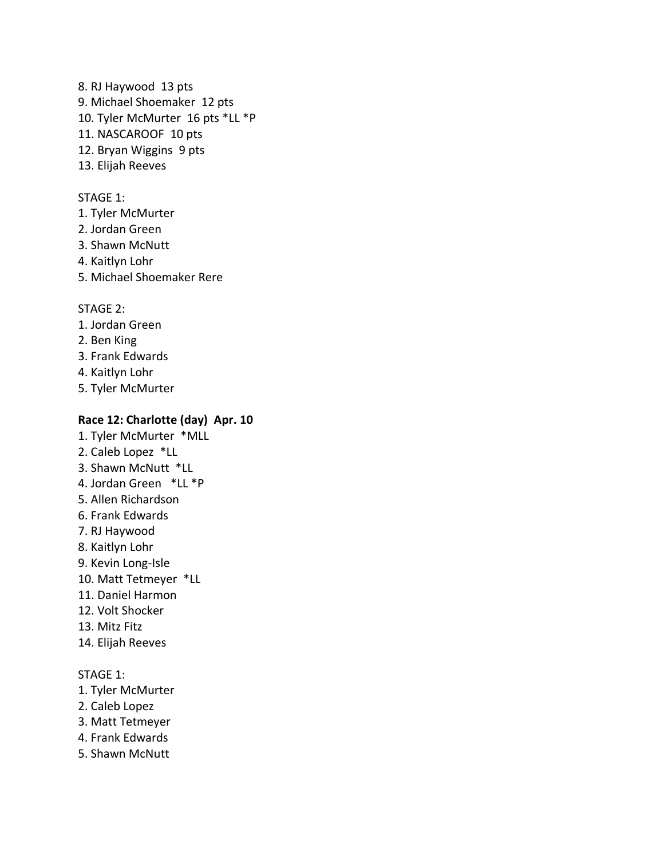8. RJ Haywood 13 pts 9. Michael Shoemaker 12 pts 10. Tyler McMurter 16 pts \*LL \*P 11. NASCAROOF 10 pts 12. Bryan Wiggins 9 pts 13. Elijah Reeves

#### STAGE 1:

- 1. Tyler McMurter
- 2. Jordan Green
- 3. Shawn McNutt
- 4. Kaitlyn Lohr
- 5. Michael Shoemaker Rere

#### STAGE 2:

- 1. Jordan Green
- 2. Ben King
- 3. Frank Edwards
- 4. Kaitlyn Lohr
- 5. Tyler McMurter

#### **Race 12: Charlotte (day) Apr. 10**

- 1. Tyler McMurter \*MLL
- 2. Caleb Lopez \*LL
- 3. Shawn McNutt \*LL
- 4. Jordan Green \*LL \*P
- 5. Allen Richardson
- 6. Frank Edwards
- 7. RJ Haywood
- 8. Kaitlyn Lohr
- 9. Kevin Long-Isle
- 10. Matt Tetmeyer \*LL
- 11. Daniel Harmon
- 12. Volt Shocker
- 13. Mitz Fitz
- 14. Elijah Reeves

#### STAGE 1:

- 1. Tyler McMurter
- 2. Caleb Lopez
- 3. Matt Tetmeyer
- 4. Frank Edwards
- 5. Shawn McNutt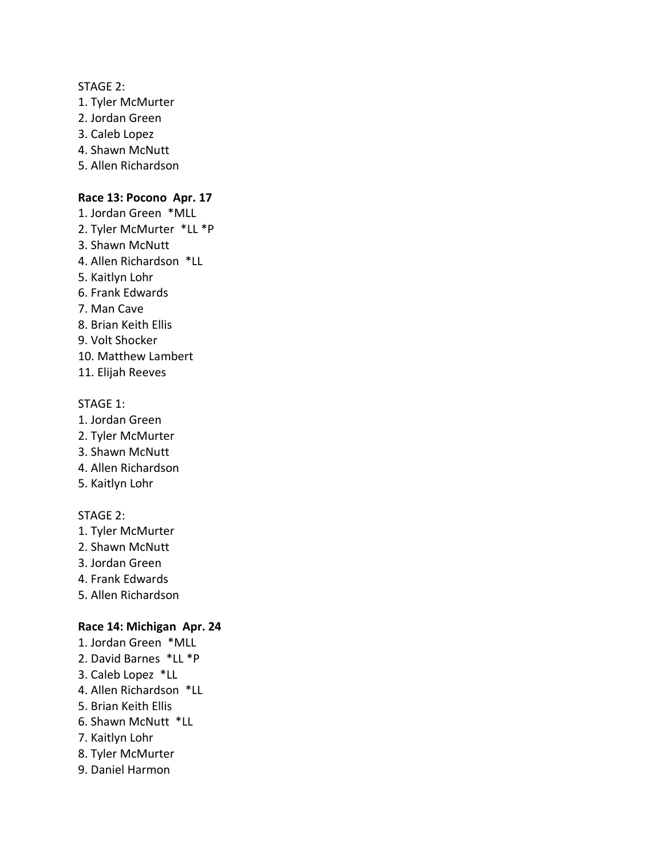#### STAGE 2:

- 1. Tyler McMurter
- 2. Jordan Green
- 3. Caleb Lopez
- 4. Shawn McNutt
- 5. Allen Richardson

## **Race 13: Pocono Apr. 17**

- 1. Jordan Green \*MLL
- 2. Tyler McMurter \*LL \*P
- 3. Shawn McNutt
- 4. Allen Richardson \*LL
- 5. Kaitlyn Lohr
- 6. Frank Edwards
- 7. Man Cave
- 8. Brian Keith Ellis
- 9. Volt Shocker
- 10. Matthew Lambert
- 11. Elijah Reeves

## STAGE 1:

- 1. Jordan Green
- 2. Tyler McMurter
- 3. Shawn McNutt
- 4. Allen Richardson
- 5. Kaitlyn Lohr

## STAGE 2:

- 1. Tyler McMurter
- 2. Shawn McNutt
- 3. Jordan Green
- 4. Frank Edwards
- 5. Allen Richardson

#### **Race 14: Michigan Apr. 24**

- 1. Jordan Green \*MLL
- 2. David Barnes \*LL \*P
- 3. Caleb Lopez \*LL
- 4. Allen Richardson \*LL
- 5. Brian Keith Ellis
- 6. Shawn McNutt \*LL
- 7. Kaitlyn Lohr
- 8. Tyler McMurter
- 9. Daniel Harmon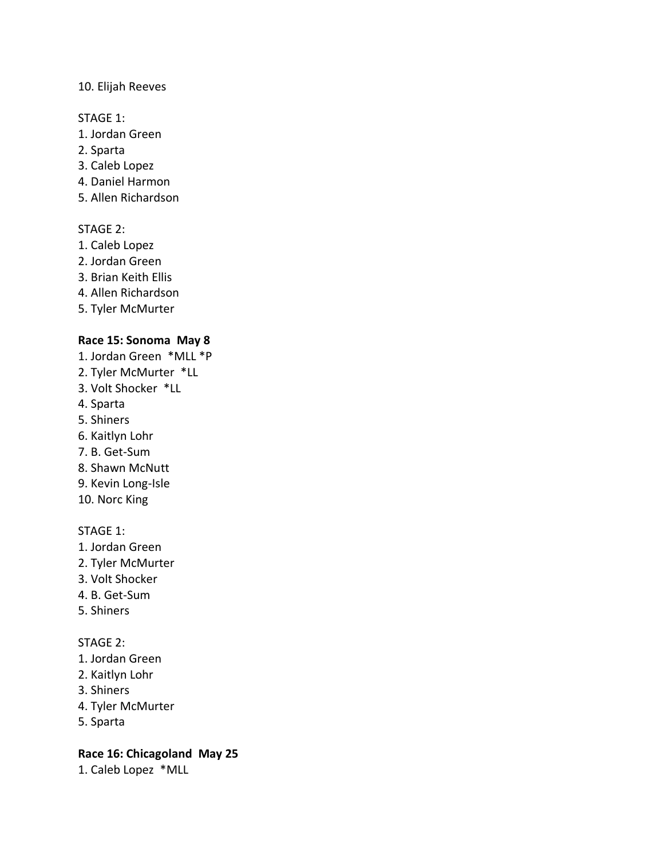## 10. Elijah Reeves

#### STAGE 1:

- 1. Jordan Green
- 2. Sparta
- 3. Caleb Lopez
- 4. Daniel Harmon
- 5. Allen Richardson

## STAGE 2:

- 1. Caleb Lopez
- 2. Jordan Green
- 3. Brian Keith Ellis
- 4. Allen Richardson
- 5. Tyler McMurter

## **Race 15: Sonoma May 8**

- 1. Jordan Green \*MLL \*P
- 2. Tyler McMurter \*LL
- 3. Volt Shocker \*LL
- 4. Sparta
- 5. Shiners
- 6. Kaitlyn Lohr
- 7. B. Get-Sum
- 8. Shawn McNutt
- 9. Kevin Long-Isle
- 10. Norc King

## STAGE 1:

- 1. Jordan Green
- 2. Tyler McMurter
- 3. Volt Shocker
- 4. B. Get-Sum
- 5. Shiners

## STAGE 2:

- 1. Jordan Green
- 2. Kaitlyn Lohr
- 3. Shiners
- 4. Tyler McMurter
- 5. Sparta

## **Race 16: Chicagoland May 25**

1. Caleb Lopez \*MLL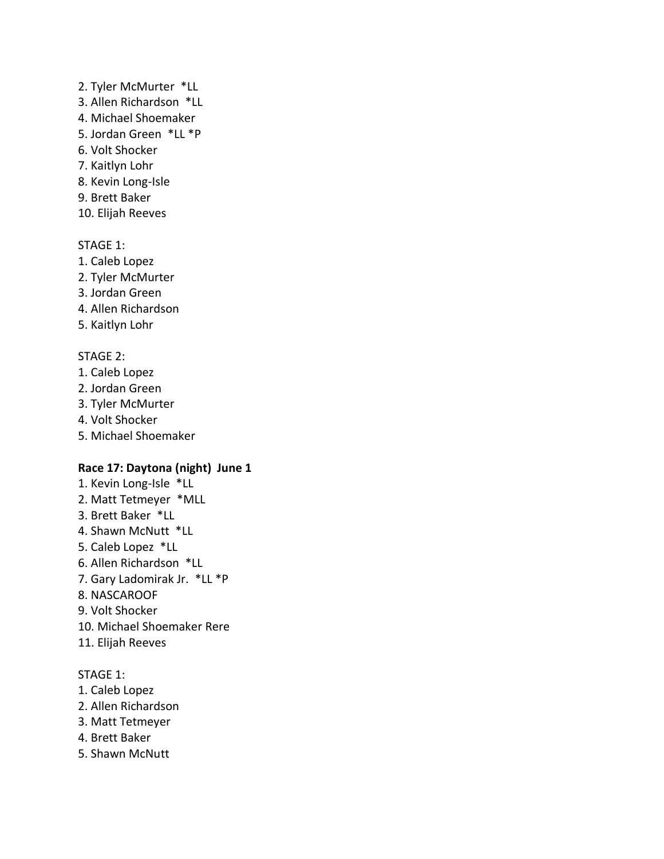## 2. Tyler McMurter \*LL

- 3. Allen Richardson \*LL
- 4. Michael Shoemaker
- 5. Jordan Green \*LL \*P
- 6. Volt Shocker
- 7. Kaitlyn Lohr
- 8. Kevin Long-Isle
- 9. Brett Baker
- 10. Elijah Reeves

## STAGE 1:

- 1. Caleb Lopez
- 2. Tyler McMurter
- 3. Jordan Green
- 4. Allen Richardson
- 5. Kaitlyn Lohr

## STAGE 2:

- 1. Caleb Lopez
- 2. Jordan Green
- 3. Tyler McMurter
- 4. Volt Shocker
- 5. Michael Shoemaker

## **Race 17: Daytona (night) June 1**

- 1. Kevin Long-Isle \*LL 2. Matt Tetmeyer \*MLL 3. Brett Baker \*LL 4. Shawn McNutt \*LL 5. Caleb Lopez \*LL 6. Allen Richardson \*LL
- 7. Gary Ladomirak Jr. \*LL \*P
- 8. NASCAROOF
- 9. Volt Shocker
- 10. Michael Shoemaker Rere
- 11. Elijah Reeves

## STAGE 1:

- 1. Caleb Lopez
- 2. Allen Richardson
- 3. Matt Tetmeyer
- 4. Brett Baker
- 5. Shawn McNutt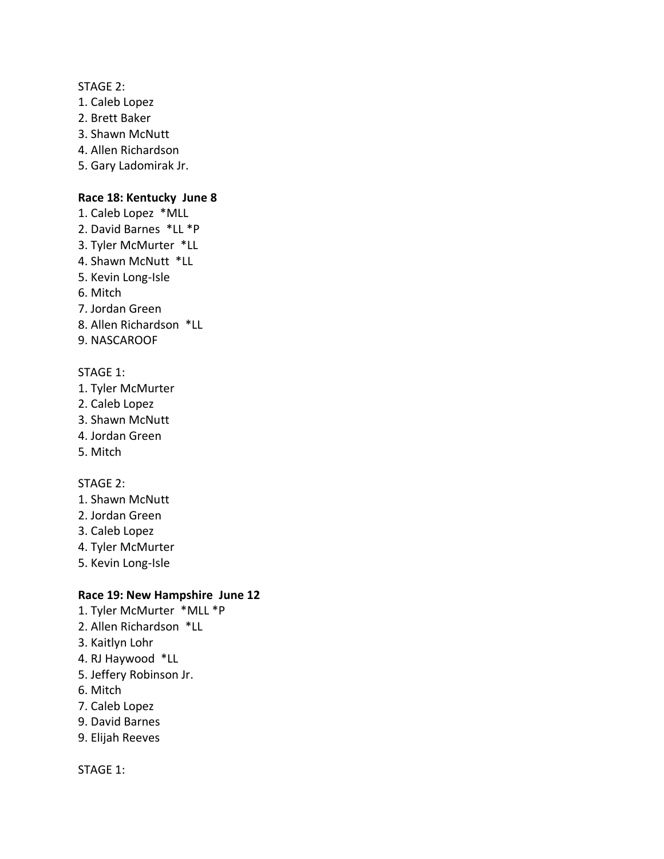STAGE 2:

- 1. Caleb Lopez
- 2. Brett Baker
- 3. Shawn McNutt
- 4. Allen Richardson
- 5. Gary Ladomirak Jr.

#### **Race 18: Kentucky June 8**

- 1. Caleb Lopez \*MLL
- 2. David Barnes \*LL \*P
- 3. Tyler McMurter \*LL
- 4. Shawn McNutt \*LL
- 5. Kevin Long-Isle
- 6. Mitch
- 7. Jordan Green
- 8. Allen Richardson \*LL
- 9. NASCAROOF

## STAGE 1:

- 1. Tyler McMurter
- 2. Caleb Lopez
- 3. Shawn McNutt
- 4. Jordan Green
- 5. Mitch

#### STAGE 2:

- 1. Shawn McNutt
- 2. Jordan Green
- 3. Caleb Lopez
- 4. Tyler McMurter
- 5. Kevin Long-Isle

## **Race 19: New Hampshire June 12**

- 1. Tyler McMurter \*MLL \*P
- 2. Allen Richardson \*LL
- 3. Kaitlyn Lohr
- 4. RJ Haywood \*LL
- 5. Jeffery Robinson Jr.
- 6. Mitch
- 7. Caleb Lopez
- 9. David Barnes
- 9. Elijah Reeves

STAGE 1: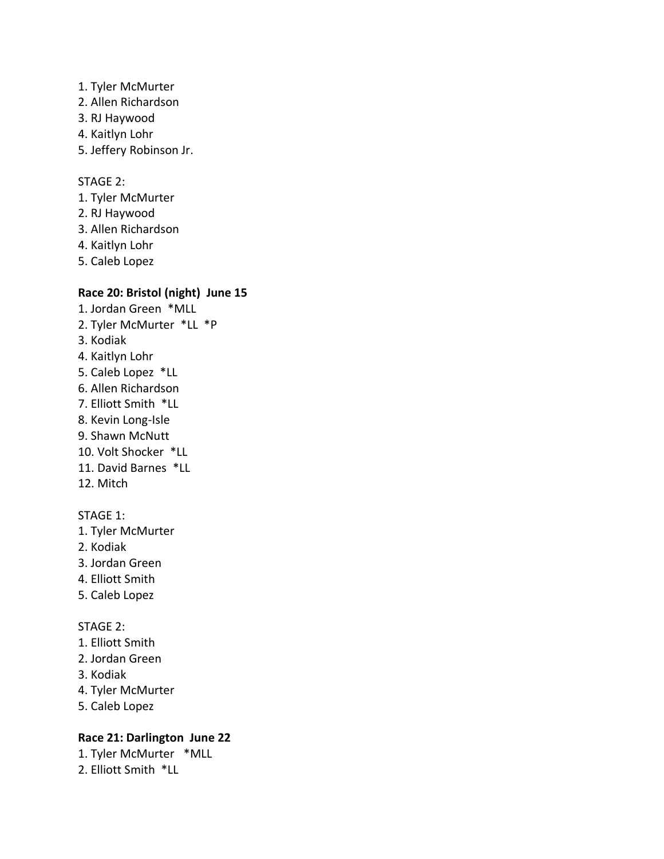- 1. Tyler McMurter
- 2. Allen Richardson
- 3. RJ Haywood
- 4. Kaitlyn Lohr
- 5. Jeffery Robinson Jr.

## STAGE 2:

- 1. Tyler McMurter
- 2. RJ Haywood
- 3. Allen Richardson
- 4. Kaitlyn Lohr
- 5. Caleb Lopez

## **Race 20: Bristol (night) June 15**

- 1. Jordan Green \*MLL 2. Tyler McMurter \*LL \*P 3. Kodiak 4. Kaitlyn Lohr 5. Caleb Lopez \*LL 6. Allen Richardson 7. Elliott Smith \*LL 8. Kevin Long-Isle 9. Shawn McNutt 10. Volt Shocker \*LL 11. David Barnes \*LL 12. Mitch STAGE 1:
- 1. Tyler McMurter
- 2. Kodiak
- 3. Jordan Green
- 4. Elliott Smith
- 5. Caleb Lopez

#### STAGE 2:

- 1. Elliott Smith
- 2. Jordan Green
- 3. Kodiak
- 4. Tyler McMurter
- 5. Caleb Lopez

## **Race 21: Darlington June 22**

- 1. Tyler McMurter \*MLL
- 2. Elliott Smith \*LL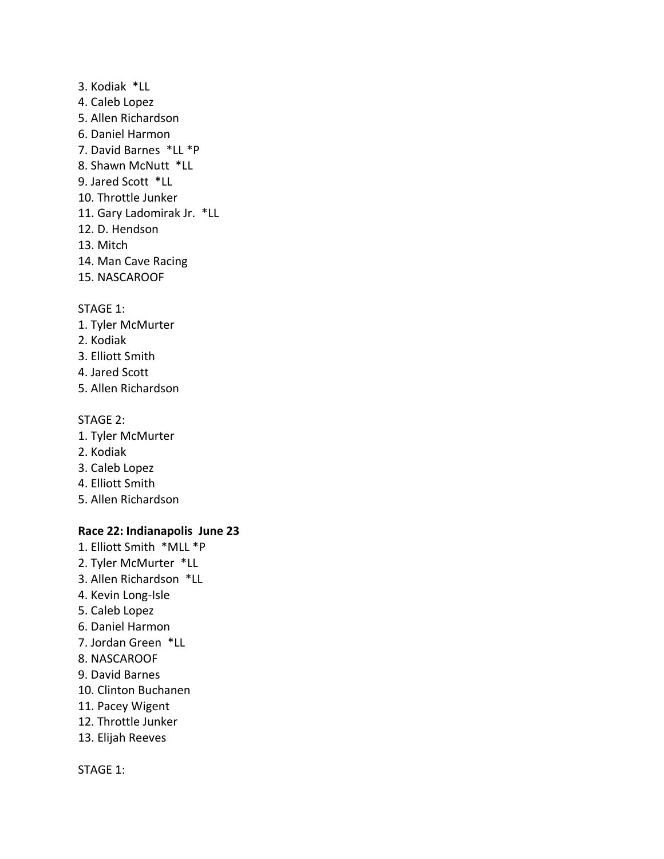3. Kodiak \*LL 4. Caleb Lopez 5. Allen Richardson 6. Daniel Harmon 7. David Barnes \*LL \*P 8. Shawn McNutt \*LL 9. Jared Scott \*LL 10. Throttle Junker 11. Gary Ladomirak Jr. \*LL 12. D. Hendson 13. Mitch 14. Man Cave Racing 15. NASCAROOF

#### STAGE 1:

- 1. Tyler McMurter
- 2. Kodiak
- 3. Elliott Smith
- 4. Jared Scott
- 5. Allen Richardson

#### STAGE 2:

- 1. Tyler McMurter
- 2. Kodiak
- 3. Caleb Lopez
- 4. Elliott Smith
- 5. Allen Richardson

## **Race 22: Indianapolis June 23**

- 1. Elliott Smith \*MLL \*P
- 2. Tyler McMurter \*LL
- 3. Allen Richardson \*LL
- 4. Kevin Long-Isle
- 5. Caleb Lopez
- 6. Daniel Harmon
- 7. Jordan Green \*LL
- 8. NASCAROOF
- 9. David Barnes
- 10. Clinton Buchanen
- 11. Pacey Wigent
- 12. Throttle Junker
- 13. Elijah Reeves

#### STAGE 1: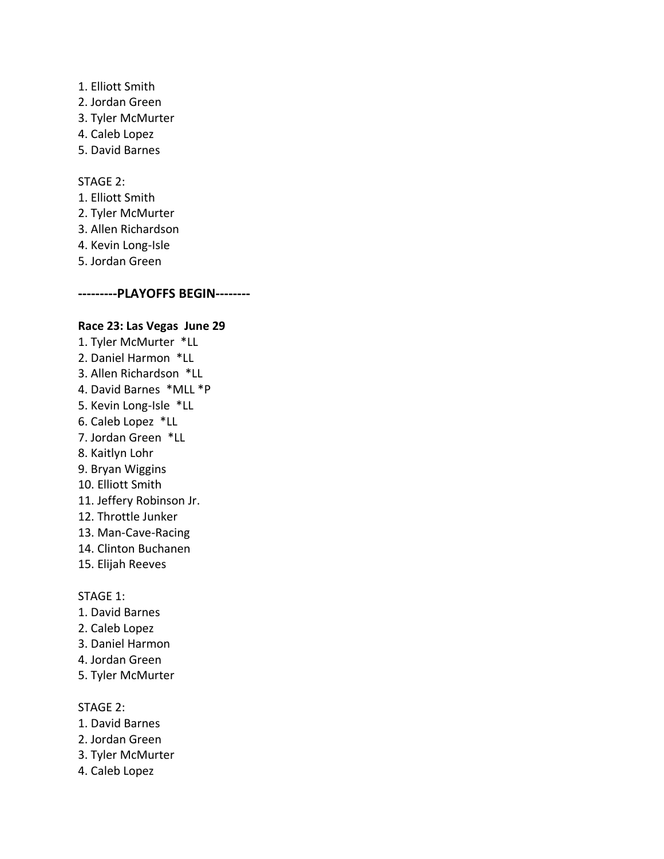- 1. Elliott Smith
- 2. Jordan Green
- 3. Tyler McMurter
- 4. Caleb Lopez
- 5. David Barnes

## STAGE 2:

- 1. Elliott Smith
- 2. Tyler McMurter
- 3. Allen Richardson
- 4. Kevin Long-Isle
- 5. Jordan Green

## **---------PLAYOFFS BEGIN--------**

#### **Race 23: Las Vegas June 29**

- 1. Tyler McMurter \*LL 2. Daniel Harmon \*LL 3. Allen Richardson \*LL 4. David Barnes \*MLL \*P 5. Kevin Long-Isle \*LL 6. Caleb Lopez \*LL 7. Jordan Green \*LL 8. Kaitlyn Lohr 9. Bryan Wiggins 10. Elliott Smith 11. Jeffery Robinson Jr. 12. Throttle Junker 13. Man-Cave-Racing 14. Clinton Buchanen 15. Elijah Reeves
- 

## STAGE 1:

- 1. David Barnes
- 2. Caleb Lopez
- 3. Daniel Harmon
- 4. Jordan Green
- 5. Tyler McMurter

#### STAGE 2:

- 1. David Barnes
- 2. Jordan Green
- 3. Tyler McMurter
- 4. Caleb Lopez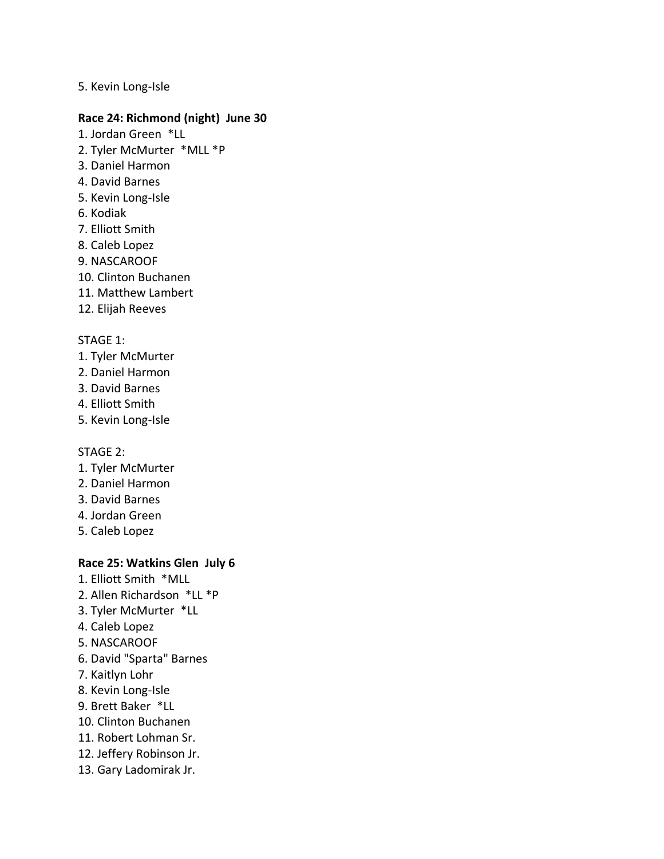## 5. Kevin Long-Isle

#### **Race 24: Richmond (night) June 30**

- 1. Jordan Green \*LL
- 2. Tyler McMurter \*MLL \*P
- 3. Daniel Harmon
- 4. David Barnes
- 5. Kevin Long-Isle
- 6. Kodiak
- 7. Elliott Smith
- 8. Caleb Lopez
- 9. NASCAROOF
- 10. Clinton Buchanen
- 11. Matthew Lambert
- 12. Elijah Reeves

#### STAGE 1:

- 1. Tyler McMurter
- 2. Daniel Harmon
- 3. David Barnes
- 4. Elliott Smith
- 5. Kevin Long-Isle

#### STAGE 2:

- 1. Tyler McMurter
- 2. Daniel Harmon
- 3. David Barnes
- 4. Jordan Green
- 5. Caleb Lopez

## **Race 25: Watkins Glen July 6**

- 1. Elliott Smith \*MLL
- 2. Allen Richardson \*LL \*P
- 3. Tyler McMurter \*LL
- 4. Caleb Lopez
- 5. NASCAROOF
- 6. David "Sparta" Barnes
- 7. Kaitlyn Lohr
- 8. Kevin Long-Isle
- 9. Brett Baker \*LL
- 10. Clinton Buchanen
- 11. Robert Lohman Sr.
- 12. Jeffery Robinson Jr.
- 13. Gary Ladomirak Jr.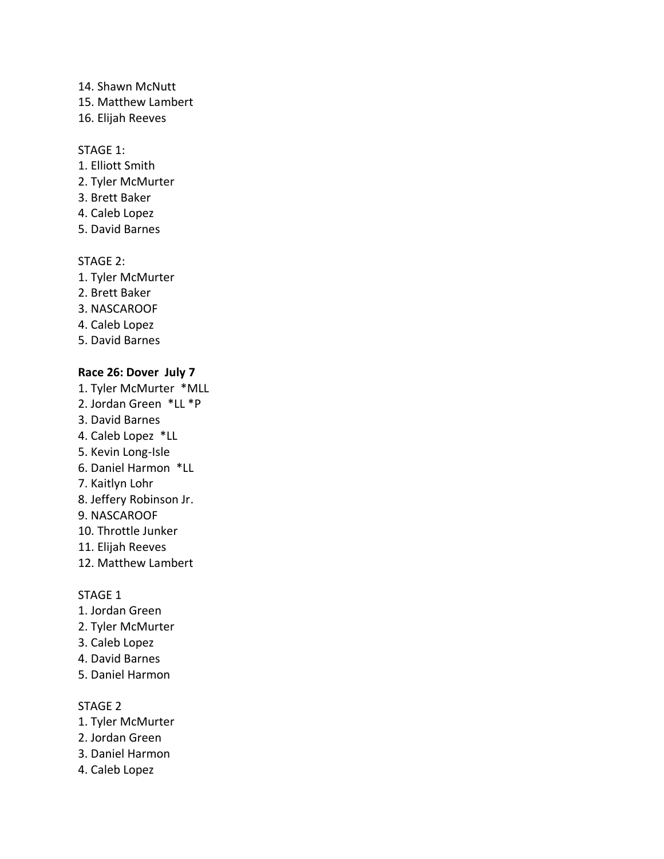- 14. Shawn McNutt
- 15. Matthew Lambert
- 16. Elijah Reeves

## STAGE 1:

- 1. Elliott Smith
- 2. Tyler McMurter
- 3. Brett Baker
- 4. Caleb Lopez
- 5. David Barnes

## STAGE 2:

- 1. Tyler McMurter
- 2. Brett Baker
- 3. NASCAROOF
- 4. Caleb Lopez
- 5. David Barnes

## **Race 26: Dover July 7**

- 1. Tyler McMurter \*MLL
- 2. Jordan Green \*LL \*P
- 3. David Barnes
- 4. Caleb Lopez \*LL
- 5. Kevin Long-Isle
- 6. Daniel Harmon \*LL
- 7. Kaitlyn Lohr
- 8. Jeffery Robinson Jr.
- 9. NASCAROOF
- 10. Throttle Junker
- 11. Elijah Reeves
- 12. Matthew Lambert

#### STAGE 1

- 1. Jordan Green
- 2. Tyler McMurter
- 3. Caleb Lopez
- 4. David Barnes
- 5. Daniel Harmon

#### STAGE 2

- 1. Tyler McMurter
- 2. Jordan Green
- 3. Daniel Harmon
- 4. Caleb Lopez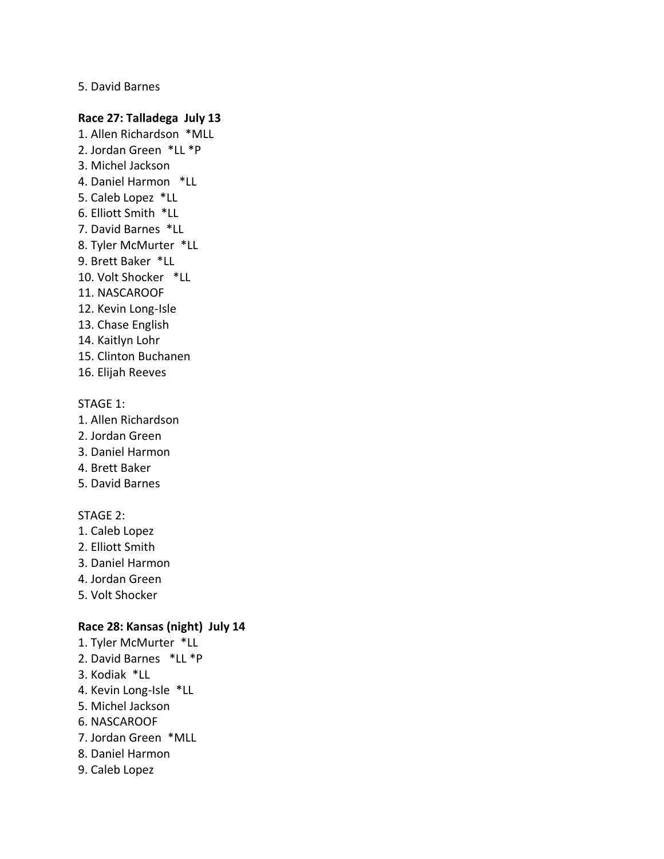5. David Barnes

## **Race 27: Talladega July 13**

- 1. Allen Richardson \*MLL 2. Jordan Green \*LL \*P
- 3. Michel Jackson
- 4. Daniel Harmon \*LL
- 5. Caleb Lopez \*LL
- 6. Elliott Smith \*LL
- 7. David Barnes \*LL
- 8. Tyler McMurter \*LL
- 9. Brett Baker \*LL
- 10. Volt Shocker \*LL
- 11. NASCAROOF
- 12. Kevin Long-Isle
- 13. Chase English
- 14. Kaitlyn Lohr
- 15. Clinton Buchanen
- 16. Elijah Reeves

## STAGE 1:

- 1. Allen Richardson
- 2. Jordan Green
- 3. Daniel Harmon
- 4. Brett Baker
- 5. David Barnes

## STAGE 2:

- 1. Caleb Lopez
- 2. Elliott Smith
- 3. Daniel Harmon
- 4. Jordan Green
- 5. Volt Shocker

## **Race 28: Kansas (night) July 14**

- 1. Tyler McMurter \*LL
- 2. David Barnes \*LL \*P
- 3. Kodiak \*LL
- 4. Kevin Long-Isle \*LL
- 5. Michel Jackson
- 6. NASCAROOF
- 7. Jordan Green \*MLL
- 8. Daniel Harmon
- 9. Caleb Lopez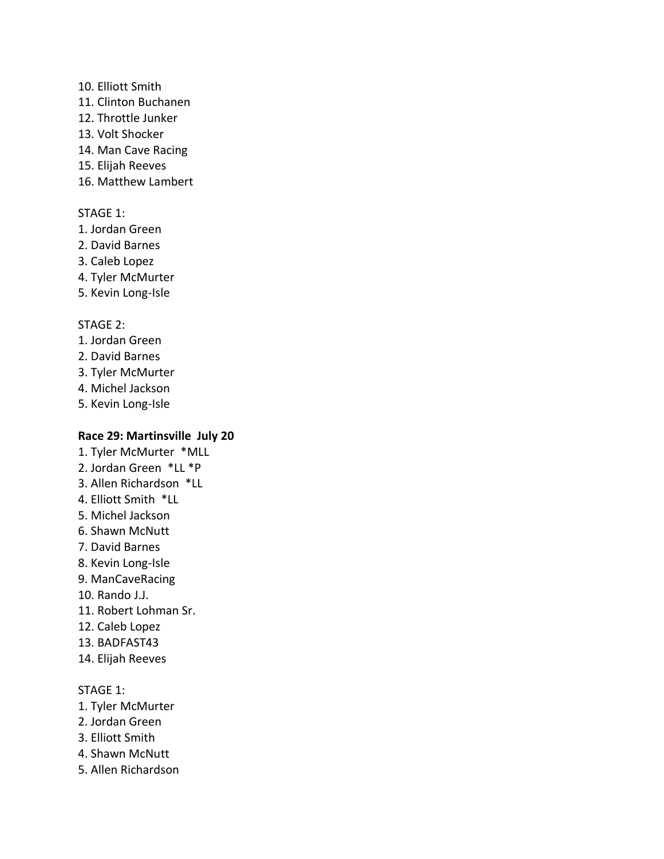## 10. Elliott Smith

- 11. Clinton Buchanen
- 12. Throttle Junker
- 13. Volt Shocker
- 14. Man Cave Racing
- 15. Elijah Reeves
- 16. Matthew Lambert

## STAGE 1:

- 1. Jordan Green
- 2. David Barnes
- 3. Caleb Lopez
- 4. Tyler McMurter
- 5. Kevin Long-Isle

## STAGE 2:

- 1. Jordan Green
- 2. David Barnes
- 3. Tyler McMurter
- 4. Michel Jackson
- 5. Kevin Long-Isle

## **Race 29: Martinsville July 20**

- 1. Tyler McMurter \*MLL
- 2. Jordan Green \*LL \*P
- 3. Allen Richardson \*LL
- 4. Elliott Smith \*LL
- 5. Michel Jackson
- 6. Shawn McNutt
- 7. David Barnes
- 8. Kevin Long-Isle
- 9. ManCaveRacing
- 10. Rando J.J.
- 11. Robert Lohman Sr.
- 12. Caleb Lopez
- 13. BADFAST43
- 14. Elijah Reeves

#### STAGE 1:

- 1. Tyler McMurter
- 2. Jordan Green
- 3. Elliott Smith
- 4. Shawn McNutt
- 5. Allen Richardson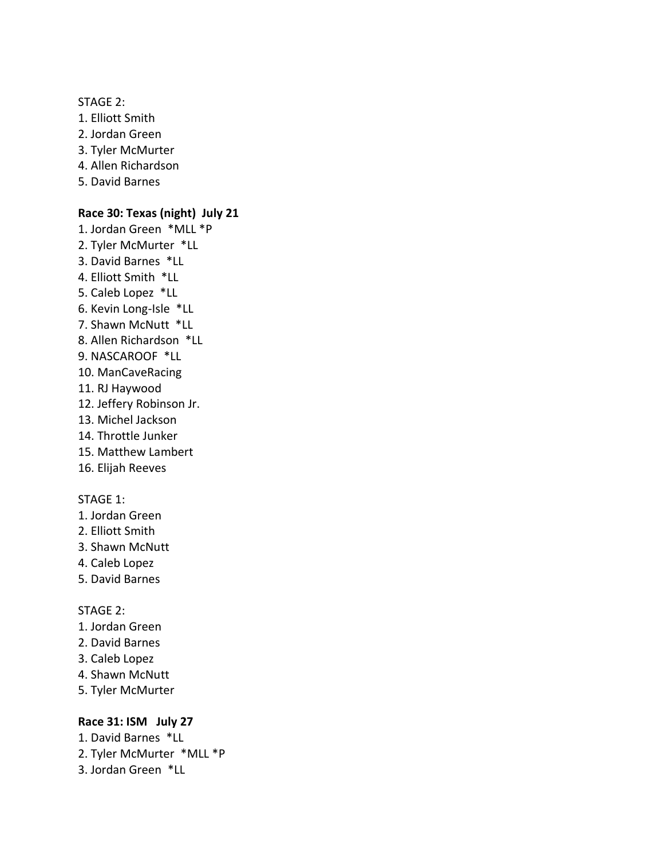STAGE 2:

- 1. Elliott Smith
- 2. Jordan Green
- 3. Tyler McMurter
- 4. Allen Richardson
- 5. David Barnes

## **Race 30: Texas (night) July 21**

- 1. Jordan Green \*MLL \*P 2. Tyler McMurter \*LL 3. David Barnes \*LL 4. Elliott Smith \*LL 5. Caleb Lopez \*LL 6. Kevin Long-Isle \*LL 7. Shawn McNutt \*LL 8. Allen Richardson \*LL 9. NASCAROOF \*LL 10. ManCaveRacing 11. RJ Haywood 12. Jeffery Robinson Jr. 13. Michel Jackson 14. Throttle Junker 15. Matthew Lambert
- 16. Elijah Reeves

## STAGE 1:

- 1. Jordan Green
- 2. Elliott Smith
- 3. Shawn McNutt
- 4. Caleb Lopez
- 5. David Barnes

## STAGE 2:

- 1. Jordan Green
- 2. David Barnes
- 3. Caleb Lopez
- 4. Shawn McNutt
- 5. Tyler McMurter

## **Race 31: ISM July 27**

- 1. David Barnes \*LL
- 2. Tyler McMurter \*MLL \*P
- 3. Jordan Green \*LL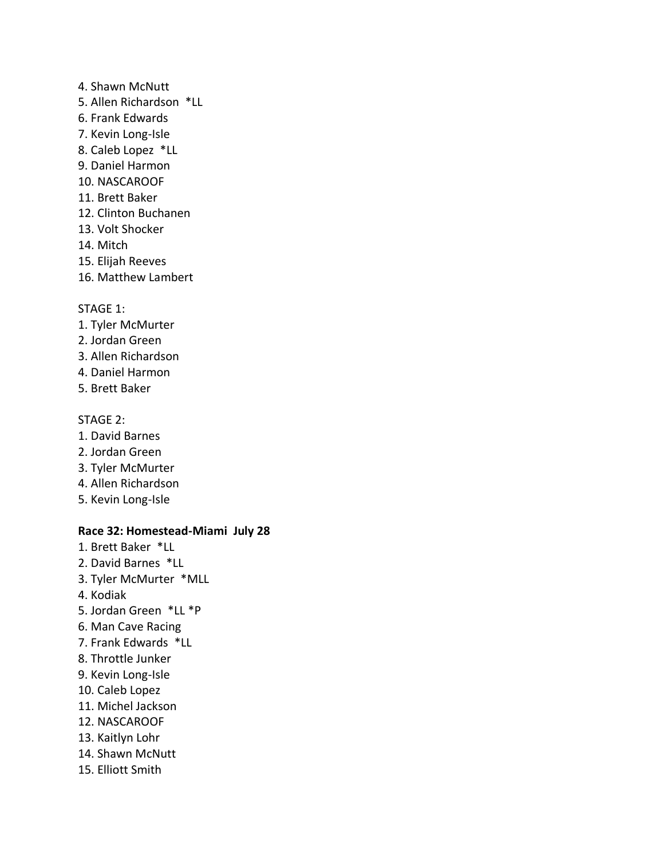- 4. Shawn McNutt
- 5. Allen Richardson \*LL
- 6. Frank Edwards
- 7. Kevin Long-Isle
- 8. Caleb Lopez \*LL
- 9. Daniel Harmon
- 10. NASCAROOF
- 11. Brett Baker
- 12. Clinton Buchanen
- 13. Volt Shocker
- 14. Mitch
- 15. Elijah Reeves
- 16. Matthew Lambert

## STAGE 1:

- 1. Tyler McMurter
- 2. Jordan Green
- 3. Allen Richardson
- 4. Daniel Harmon
- 5. Brett Baker

## STAGE 2:

- 1. David Barnes
- 2. Jordan Green
- 3. Tyler McMurter
- 4. Allen Richardson
- 5. Kevin Long-Isle

## **Race 32: Homestead-Miami July 28**

- 1. Brett Baker \*LL
- 2. David Barnes \*LL
- 3. Tyler McMurter \*MLL
- 4. Kodiak
- 5. Jordan Green \*LL \*P
- 6. Man Cave Racing
- 7. Frank Edwards \*LL
- 8. Throttle Junker
- 9. Kevin Long-Isle
- 10. Caleb Lopez
- 11. Michel Jackson
- 12. NASCAROOF
- 13. Kaitlyn Lohr
- 14. Shawn McNutt
- 15. Elliott Smith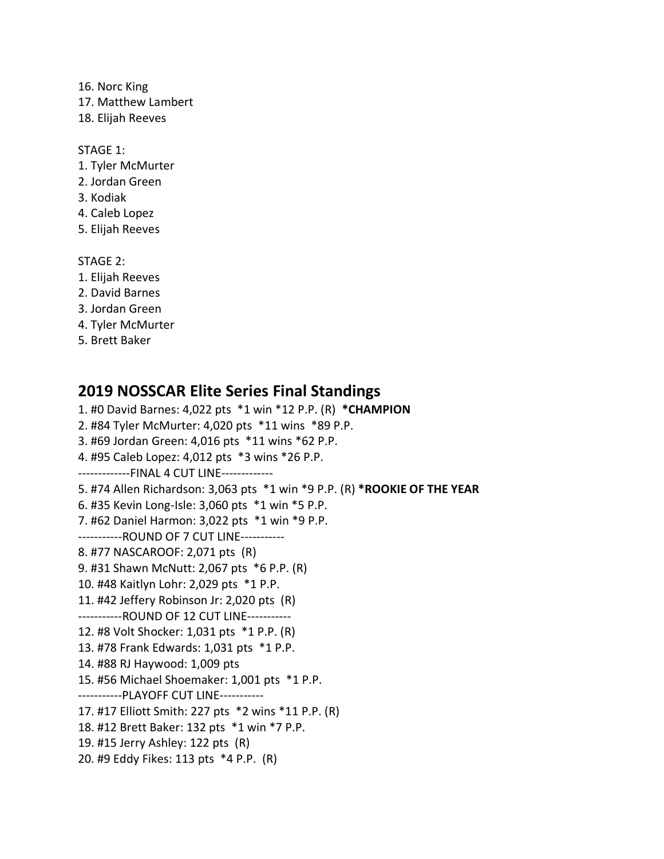16. Norc King

17. Matthew Lambert

18. Elijah Reeves

## STAGE 1:

- 1. Tyler McMurter
- 2. Jordan Green
- 3. Kodiak
- 4. Caleb Lopez
- 5. Elijah Reeves

STAGE 2:

- 1. Elijah Reeves
- 2. David Barnes
- 3. Jordan Green
- 4. Tyler McMurter
- 5. Brett Baker

## **2019 NOSSCAR Elite Series Final Standings**

1. #0 David Barnes: 4,022 pts \*1 win \*12 P.P. (R) **\*CHAMPION** 2. #84 Tyler McMurter: 4,020 pts \*11 wins \*89 P.P. 3. #69 Jordan Green: 4,016 pts \*11 wins \*62 P.P. 4. #95 Caleb Lopez: 4,012 pts \*3 wins \*26 P.P. -------------FINAL 4 CUT LINE------------- 5. #74 Allen Richardson: 3,063 pts \*1 win \*9 P.P. (R) **\*ROOKIE OF THE YEAR** 6. #35 Kevin Long-Isle: 3,060 pts \*1 win \*5 P.P. 7. #62 Daniel Harmon: 3,022 pts \*1 win \*9 P.P. -----------ROUND OF 7 CUT LINE----------- 8. #77 NASCAROOF: 2,071 pts (R) 9. #31 Shawn McNutt: 2,067 pts \*6 P.P. (R) 10. #48 Kaitlyn Lohr: 2,029 pts \*1 P.P. 11. #42 Jeffery Robinson Jr: 2,020 pts (R) -----------ROUND OF 12 CUT LINE----------- 12. #8 Volt Shocker: 1,031 pts \*1 P.P. (R) 13. #78 Frank Edwards: 1,031 pts \*1 P.P. 14. #88 RJ Haywood: 1,009 pts 15. #56 Michael Shoemaker: 1,001 pts \*1 P.P. -----------PLAYOFF CUT LINE----------- 17. #17 Elliott Smith: 227 pts \*2 wins \*11 P.P. (R) 18. #12 Brett Baker: 132 pts \*1 win \*7 P.P. 19. #15 Jerry Ashley: 122 pts (R) 20. #9 Eddy Fikes: 113 pts \*4 P.P. (R)